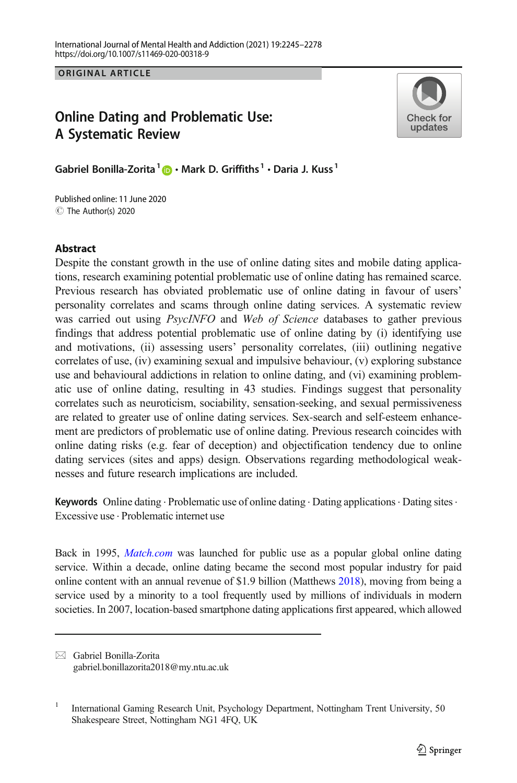ORIGINAL ARTICLE

# Online Dating and Problematic Use: A Systematic Review



Gabriel Bonilla-Zorita<sup>1</sup>  $\mathbf{D} \cdot \mathbf{M}$ ark D. Griffiths<sup>1</sup> · Daria J. Kuss<sup>1</sup>

C The Author(s) 2020 Published online: 11 June 2020

### **Abstract**

Despite the constant growth in the use of online dating sites and mobile dating applications, research examining potential problematic use of online dating has remained scarce. Previous research has obviated problematic use of online dating in favour of users' personality correlates and scams through online dating services. A systematic review was carried out using *PsycINFO* and *Web of Science* databases to gather previous findings that address potential problematic use of online dating by (i) identifying use and motivations, (ii) assessing users' personality correlates, (iii) outlining negative correlates of use, (iv) examining sexual and impulsive behaviour, (v) exploring substance use and behavioural addictions in relation to online dating, and (vi) examining problematic use of online dating, resulting in 43 studies. Findings suggest that personality correlates such as neuroticism, sociability, sensation-seeking, and sexual permissiveness are related to greater use of online dating services. Sex-search and self-esteem enhancement are predictors of problematic use of online dating. Previous research coincides with online dating risks (e.g. fear of deception) and objectification tendency due to online dating services (sites and apps) design. Observations regarding methodological weaknesses and future research implications are included.

Keywords Online dating  $\cdot$  Problematic use of online dating  $\cdot$  Dating applications  $\cdot$  Dating sites  $\cdot$ Excessive use . Problematic internet use

Back in 1995, *[Match.com](https://doi.org/http://creativecommons.org/licenses/by/4.0/)* was launched for public use as a popular global online dating service. Within a decade, online dating became the second most popular industry for paid online content with an annual revenue of \$1.9 billion (Matthews [2018](#page-31-0)), moving from being a service used by a minority to a tool frequently used by millions of individuals in modern societies. In 2007, location-based smartphone dating applications first appeared, which allowed

 $\boxtimes$  Gabriel Bonilla-Zorita [gabriel.bonillazorita2018@my.ntu.ac.uk](mailto:gabriel.bonillazorita2018@my.ntu.ac.uk)

<sup>&</sup>lt;sup>1</sup> International Gaming Research Unit, Psychology Department, Nottingham Trent University, 50 Shakespeare Street, Nottingham NG1 4FQ, UK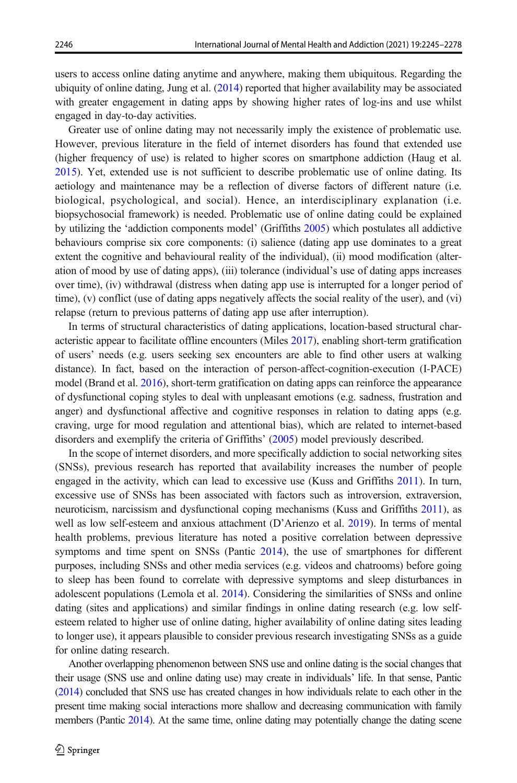users to access online dating anytime and anywhere, making them ubiquitous. Regarding the ubiquity of online dating, Jung et al. ([2014](#page-30-0)) reported that higher availability may be associated with greater engagement in dating apps by showing higher rates of log-ins and use whilst engaged in day-to-day activities.

Greater use of online dating may not necessarily imply the existence of problematic use. However, previous literature in the field of internet disorders has found that extended use (higher frequency of use) is related to higher scores on smartphone addiction (Haug et al. [2015](#page-30-0)). Yet, extended use is not sufficient to describe problematic use of online dating. Its aetiology and maintenance may be a reflection of diverse factors of different nature (i.e. biological, psychological, and social). Hence, an interdisciplinary explanation (i.e. biopsychosocial framework) is needed. Problematic use of online dating could be explained by utilizing the 'addiction components model' (Griffiths [2005](#page-30-0)) which postulates all addictive behaviours comprise six core components: (i) salience (dating app use dominates to a great extent the cognitive and behavioural reality of the individual), (ii) mood modification (alteration of mood by use of dating apps), (iii) tolerance (individual's use of dating apps increases over time), (iv) withdrawal (distress when dating app use is interrupted for a longer period of time), (v) conflict (use of dating apps negatively affects the social reality of the user), and (vi) relapse (return to previous patterns of dating app use after interruption).

In terms of structural characteristics of dating applications, location-based structural characteristic appear to facilitate offline encounters (Miles [2017](#page-31-0)), enabling short-term gratification of users' needs (e.g. users seeking sex encounters are able to find other users at walking distance). In fact, based on the interaction of person-affect-cognition-execution (I-PACE) model (Brand et al. [2016](#page-29-0)), short-term gratification on dating apps can reinforce the appearance of dysfunctional coping styles to deal with unpleasant emotions (e.g. sadness, frustration and anger) and dysfunctional affective and cognitive responses in relation to dating apps (e.g. craving, urge for mood regulation and attentional bias), which are related to internet-based disorders and exemplify the criteria of Griffiths' ([2005](#page-30-0)) model previously described.

In the scope of internet disorders, and more specifically addiction to social networking sites (SNSs), previous research has reported that availability increases the number of people engaged in the activity, which can lead to excessive use (Kuss and Griffiths [2011](#page-31-0)). In turn, excessive use of SNSs has been associated with factors such as introversion, extraversion, neuroticism, narcissism and dysfunctional coping mechanisms (Kuss and Griffiths [2011\)](#page-31-0), as well as low self-esteem and anxious attachment (D'Arienzo et al. [2019](#page-30-0)). In terms of mental health problems, previous literature has noted a positive correlation between depressive symptoms and time spent on SNSs (Pantic [2014](#page-31-0)), the use of smartphones for different purposes, including SNSs and other media services (e.g. videos and chatrooms) before going to sleep has been found to correlate with depressive symptoms and sleep disturbances in adolescent populations (Lemola et al. [2014](#page-31-0)). Considering the similarities of SNSs and online dating (sites and applications) and similar findings in online dating research (e.g. low selfesteem related to higher use of online dating, higher availability of online dating sites leading to longer use), it appears plausible to consider previous research investigating SNSs as a guide for online dating research.

Another overlapping phenomenon between SNS use and online dating is the social changes that their usage (SNS use and online dating use) may create in individuals' life. In that sense, Pantic ([2014](#page-31-0)) concluded that SNS use has created changes in how individuals relate to each other in the present time making social interactions more shallow and decreasing communication with family members (Pantic [2014\)](#page-31-0). At the same time, online dating may potentially change the dating scene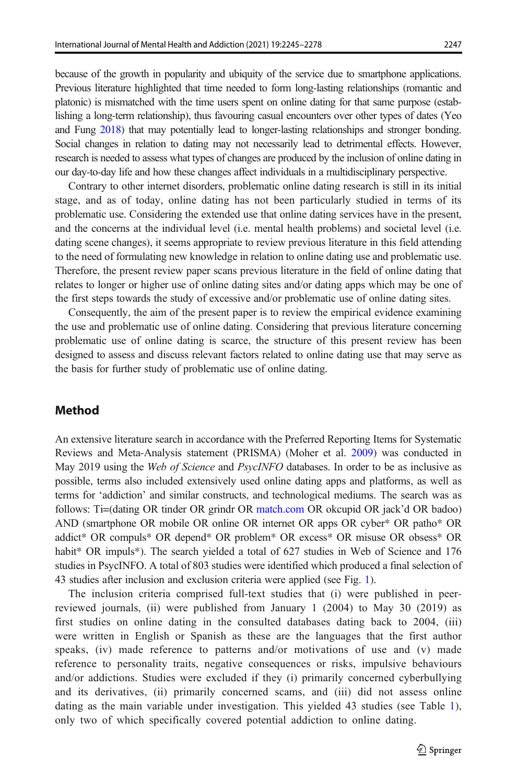because of the growth in popularity and ubiquity of the service due to smartphone applications. Previous literature highlighted that time needed to form long-lasting relationships (romantic and platonic) is mismatched with the time users spent on online dating for that same purpose (establishing a long-term relationship), thus favouring casual encounters over other types of dates (Yeo and Fung [2018\)](#page-32-0) that may potentially lead to longer-lasting relationships and stronger bonding. Social changes in relation to dating may not necessarily lead to detrimental effects. However, research is needed to assess what types of changes are produced by the inclusion of online dating in our day-to-day life and how these changes affect individuals in a multidisciplinary perspective.

Contrary to other internet disorders, problematic online dating research is still in its initial stage, and as of today, online dating has not been particularly studied in terms of its problematic use. Considering the extended use that online dating services have in the present, and the concerns at the individual level (i.e. mental health problems) and societal level (i.e. dating scene changes), it seems appropriate to review previous literature in this field attending to the need of formulating new knowledge in relation to online dating use and problematic use. Therefore, the present review paper scans previous literature in the field of online dating that relates to longer or higher use of online dating sites and/or dating apps which may be one of the first steps towards the study of excessive and/or problematic use of online dating sites.

Consequently, the aim of the present paper is to review the empirical evidence examining the use and problematic use of online dating. Considering that previous literature concerning problematic use of online dating is scarce, the structure of this present review has been designed to assess and discuss relevant factors related to online dating use that may serve as the basis for further study of problematic use of online dating.

### Method

An extensive literature search in accordance with the Preferred Reporting Items for Systematic Reviews and Meta-Analysis statement (PRISMA) (Moher et al. [2009](#page-31-0)) was conducted in May 2019 using the Web of Science and PsycINFO databases. In order to be as inclusive as possible, terms also included extensively used online dating apps and platforms, as well as terms for 'addiction' and similar constructs, and technological mediums. The search was as follows: Ti=(dating OR tinder OR grindr OR [match.com](https://doi.org/http://creativecommons.org/licenses/by/4.0/) OR okcupid OR jack'd OR badoo) AND (smartphone OR mobile OR online OR internet OR apps OR cyber\* OR patho\* OR addict\* OR compuls\* OR depend\* OR problem\* OR excess\* OR misuse OR obsess\* OR habit<sup>\*</sup> OR impuls<sup>\*</sup>). The search yielded a total of 627 studies in Web of Science and 176 studies in PsycINFO. A total of 803 studies were identified which produced a final selection of 43 studies after inclusion and exclusion criteria were applied (see Fig. [1\)](#page-3-0).

The inclusion criteria comprised full-text studies that (i) were published in peerreviewed journals, (ii) were published from January 1 (2004) to May 30 (2019) as first studies on online dating in the consulted databases dating back to 2004, (iii) were written in English or Spanish as these are the languages that the first author speaks, (iv) made reference to patterns and/or motivations of use and (v) made reference to personality traits, negative consequences or risks, impulsive behaviours and/or addictions. Studies were excluded if they (i) primarily concerned cyberbullying and its derivatives, (ii) primarily concerned scams, and (iii) did not assess online dating as the main variable under investigation. This yielded 43 studies (see Table [1](#page-4-0)), only two of which specifically covered potential addiction to online dating.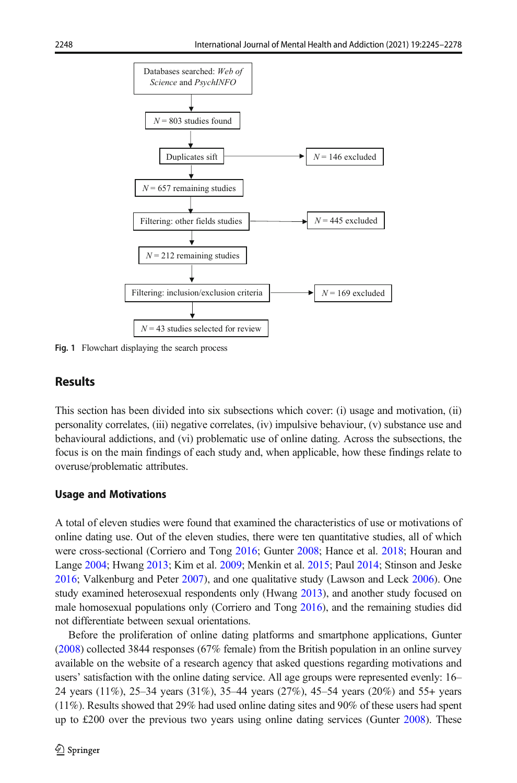<span id="page-3-0"></span>

Fig. 1 Flowchart displaying the search process

### **Results**

This section has been divided into six subsections which cover: (i) usage and motivation, (ii) personality correlates, (iii) negative correlates, (iv) impulsive behaviour, (v) substance use and behavioural addictions, and (vi) problematic use of online dating. Across the subsections, the focus is on the main findings of each study and, when applicable, how these findings relate to overuse/problematic attributes.

#### Usage and Motivations

A total of eleven studies were found that examined the characteristics of use or motivations of online dating use. Out of the eleven studies, there were ten quantitative studies, all of which were cross-sectional (Corriero and Tong [2016;](#page-29-0) Gunter [2008](#page-30-0); Hance et al. [2018](#page-30-0); Houran and Lange [2004;](#page-30-0) Hwang [2013](#page-30-0); Kim et al. [2009;](#page-31-0) Menkin et al. [2015](#page-31-0); Paul [2014](#page-32-0); Stinson and Jeske [2016](#page-32-0); Valkenburg and Peter [2007](#page-32-0)), and one qualitative study (Lawson and Leck [2006\)](#page-31-0). One study examined heterosexual respondents only (Hwang [2013](#page-30-0)), and another study focused on male homosexual populations only (Corriero and Tong [2016\)](#page-29-0), and the remaining studies did not differentiate between sexual orientations.

Before the proliferation of online dating platforms and smartphone applications, Gunter ([2008](#page-30-0)) collected 3844 responses (67% female) from the British population in an online survey available on the website of a research agency that asked questions regarding motivations and users' satisfaction with the online dating service. All age groups were represented evenly: 16– 24 years (11%), 25–34 years (31%), 35–44 years (27%), 45–54 years (20%) and 55+ years (11%). Results showed that 29% had used online dating sites and 90% of these users had spent up to £200 over the previous two years using online dating services (Gunter [2008\)](#page-30-0). These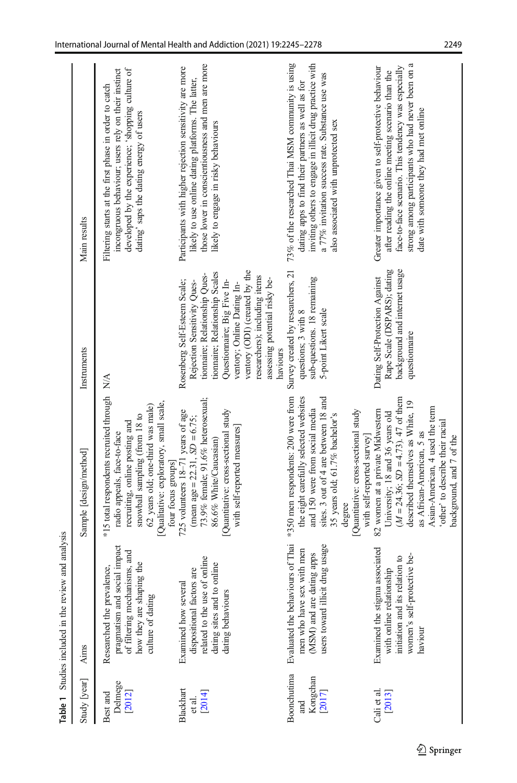<span id="page-4-0"></span>

|                                          | Table 1 Studies included in the review and analysis                                                                                         |                                                                                                                                                                                                                                                                                                                 |                                                                                                                                                                                                                                                                                               |                                                                                                                                                                                                                                                                  |
|------------------------------------------|---------------------------------------------------------------------------------------------------------------------------------------------|-----------------------------------------------------------------------------------------------------------------------------------------------------------------------------------------------------------------------------------------------------------------------------------------------------------------|-----------------------------------------------------------------------------------------------------------------------------------------------------------------------------------------------------------------------------------------------------------------------------------------------|------------------------------------------------------------------------------------------------------------------------------------------------------------------------------------------------------------------------------------------------------------------|
| Study [year]                             | Aims                                                                                                                                        | Sample [design/method]                                                                                                                                                                                                                                                                                          | Instruments                                                                                                                                                                                                                                                                                   | Main results                                                                                                                                                                                                                                                     |
| Delmege<br>[2012]<br>Best and            | pragmatism and social impact<br>of filtering mechanisms, and<br>how they are shaping the<br>Researched the prevalence,<br>culture of dating | *15 total respondents recruited through N/A<br>Qualitative: exploratory, small scale,<br>62 years old; one-third was male)<br>snowball sampling (from 18 to<br>recruiting, online posting and<br>radio appeals, face-to-face<br>four focus groups]                                                              |                                                                                                                                                                                                                                                                                               | incongruous behaviour; users rely on their instinct<br>developed by the experience; 'shopping culture of<br>Filtering starts at the first phase in order to catch<br>dating' saps the dating energy of users                                                     |
| Blackhart<br>[2014]<br>et al.            | related to the use of online<br>dating sites and to online<br>dispositional factors are<br>Examined how several<br>dating behaviours        | 73.9% female; 91.6% heterosexual;<br>725 volunteers 18-71 years of age<br>Quantitative: cross-sectional study<br>(mean age = $22.31$ , $SD = 6.75$ ;<br>with self-reported measures]<br>86.6% White/Caucasian)                                                                                                  | ventory (ODI) (created by the<br>tionnaire; Relationship Scales<br>tiomaire; Relationship Ques-<br>researchers); including items<br>assessing potential risky be-<br>Rosenberg Self-Esteem Scale;<br>Questionnaire; Big Five In-<br>Rejection Sensitivity Ques-<br>ventory; Online Dating In- | those lower in conscientiousness and men are more<br>Participants with higher rejection sensitivity are more<br>likely to use online dating platforms. The latter,<br>likely to engage in risky behaviours                                                       |
| Boonchutima<br>Kongchan<br>[2017]<br>and | Evaluated the behaviours of Thai<br>users toward illicit drug usage<br>men who have sex with men<br>(MSM) and are dating apps               | the eight carefully selected websites<br>*350 men respondents: 200 were from<br>sites. 3 out of 4 are between 18 and<br>and 150 were from social media<br>Quantitative: cross-sectional study<br>35 years old; 61.7% bachelor's<br>degree                                                                       | Survey created by researchers, 21<br>sub-questions. 18 remaining<br>5-point Likert scale<br>questions; 3 with 8<br>haviours                                                                                                                                                                   | 73% of the researched Thai MSM community is using<br>inviting others to engage in illicit drug practice with<br>a 77% invitation success rate. Substance use was<br>dating apps to find their partners as well as for<br>also associated with unprotected sex    |
| Cali et al.<br>[2013]                    | associated<br>women's self-protective be-<br>initiation and its relation to<br>with online relationship<br>Examined the stigma<br>haviour   | $(M = 24.36; SD = 4.73)$ . 47 of them<br>described themselves as White, 19<br>Asian-American, 4 used the term<br>82 women at a private Midwestern<br>University; 18 and 36 years old<br>'other' to describe their racial<br>as African-American, 5 as<br>background, and 7 of the<br>with self-reported survey] | Rape Scale (DSPARS); dating<br>background and internet usage<br>Dating Self-Protection Against<br>questionnaire                                                                                                                                                                               | strong among participants who had never been on a<br>face-to-face scenario. This tendency was especially<br>Greater importance given to self-protective behaviour<br>after reading the online meeting scenario than the<br>date with someone they had met online |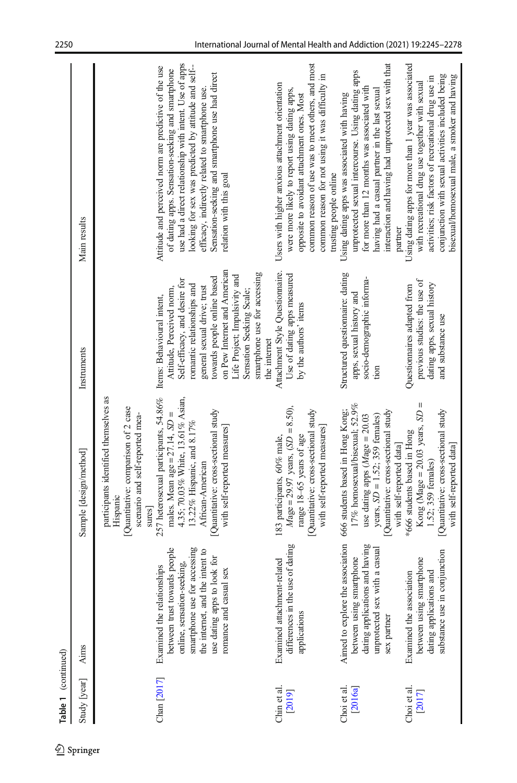| Table 1 (continued)    |                                                                                                                                                                                                                         |                                                                                                                                                                                                                                                                                                                                                                                   |                                                                                                                                                                                                                                                                                                                                   |                                                                                                                                                                                                                                                                                                                                                             |
|------------------------|-------------------------------------------------------------------------------------------------------------------------------------------------------------------------------------------------------------------------|-----------------------------------------------------------------------------------------------------------------------------------------------------------------------------------------------------------------------------------------------------------------------------------------------------------------------------------------------------------------------------------|-----------------------------------------------------------------------------------------------------------------------------------------------------------------------------------------------------------------------------------------------------------------------------------------------------------------------------------|-------------------------------------------------------------------------------------------------------------------------------------------------------------------------------------------------------------------------------------------------------------------------------------------------------------------------------------------------------------|
| Study [year]           | <b>Aims</b>                                                                                                                                                                                                             | Sample [design/method]                                                                                                                                                                                                                                                                                                                                                            | Instruments                                                                                                                                                                                                                                                                                                                       | Main results                                                                                                                                                                                                                                                                                                                                                |
| Chan [2017]            | between trust towards people<br>smartphone use for accessing<br>the internet, and the intent to<br>use dating apps to look for<br>online, sensation-seeking,<br>Examined the relationships<br>sex<br>romance and casual | 257 heterosexual participants, 54.86%<br>participants identified themselves as<br>4.35; 70.03% White, 13.61% Asian,<br>Quantitative: comparison of 2 case<br>Quantitative: cross-sectional study<br>males. Mean age = $27.14$ , $SD =$<br>scenario and self-reported mea-<br>13.22% Hispanic, and 8.17%<br>with self-reported measures]<br>African-American<br>Hispanic<br>sures] | on Pew Internet and American<br>smartphone use for accessing<br>Life Project; Impulsivity and<br>towards people online based<br>Self-efficacy, and desire for<br>romantic relationships and<br>general sexual drive; trust<br>Attitude, Perceived norm,<br>Sensation Seeking Scale;<br>Items: Behavioural intent,<br>the internet | use had a direct relationship with intent. Use of apps<br>looking for sex was predicted by attitude and self-<br>Attitude and perceived norm are predictive of the use<br>of dating apps. Sensation-seeking and smartphone<br>Sensation-seeking and smartphone use had direct<br>efficacy, indirectly related to smartphone use.<br>relation with this goal |
| Chin et al.<br>[2019]  | differences in the use of dating<br>Examined attachment-related<br>applications                                                                                                                                         | $Mage = 29.97$ years, $(SD = 8.50)$ ,<br>Quantitative: cross-sectional study<br>with self-reported measures]<br>range 18-65 years of age<br>183 participants, 60% male,                                                                                                                                                                                                           | Attachment Style Questionnaire.<br>Use of dating apps measured<br>by the authors' items                                                                                                                                                                                                                                           | common reason of use was to meet others, and most<br>common reason for not using it was difficulty in<br>Users with higher anxious attachment orientation<br>were more likely to report using dating apps,<br>opposite to avoidant attachment ones. Most<br>trusting people online                                                                          |
| Choi et al.<br>[2016a] | Aimed to explore the association<br>dating applications and having<br>a casual<br>between using smartphone<br>unprotected sex with<br>sex partner                                                                       | 17% homosexual/bisexual; 52.9%<br>666 students based in Hong Kong;<br>Quantitative: cross-sectional study<br>years, $SD = 1.52$ ; 359 females)<br>use dating apps $(Mage = 20.03$<br>with self-reported data                                                                                                                                                                      | Structured questionnaire: dating<br>socio-demographic informa-<br>apps, sexual history and<br>tion                                                                                                                                                                                                                                | interaction and having had unprotected sex with that<br>unprotected sexual intercourse. Using dating apps<br>for more than 12 months was associated with<br>having had a casual partner in the last sexual<br>Using dating apps was associated with having<br>partner                                                                                       |
| Choi et al.<br>[2017]  | substance use in conjunction<br>between using smartphone<br>dating applications and<br>Examined the association                                                                                                         | $\mathsf{I}$<br>Quantitative: cross-sectional study<br>Kong (Mage = $20.03$ years, $SD$<br>*666 students based in Hong<br>with self-reported data<br>1.52; 359 females)                                                                                                                                                                                                           | previous studies: the use of<br>dating apps, sexual history<br>Questionnaires adapted from<br>and substance use                                                                                                                                                                                                                   | Using dating apps for more than 1 year was associated<br>conjunction with sexual activities included being<br>bisexual/homosexual male, a smoker and having<br>activities; risk factors of recreational drug use in<br>with recreational drug use together with sexual                                                                                      |

 $\overline{\underline{\otimes}}$  Springer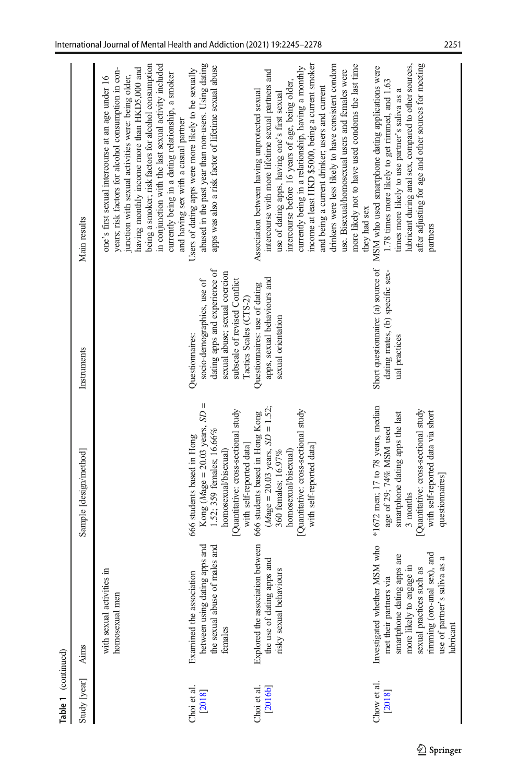| Table 1 (continued)    |                                                                                                                                                                                                                                    |                                                                                                                                                                                                             |                                                                                                                                                 |                                                                                                                                                                                                                                                                                                                                                                                                                                                                                                                                         |
|------------------------|------------------------------------------------------------------------------------------------------------------------------------------------------------------------------------------------------------------------------------|-------------------------------------------------------------------------------------------------------------------------------------------------------------------------------------------------------------|-------------------------------------------------------------------------------------------------------------------------------------------------|-----------------------------------------------------------------------------------------------------------------------------------------------------------------------------------------------------------------------------------------------------------------------------------------------------------------------------------------------------------------------------------------------------------------------------------------------------------------------------------------------------------------------------------------|
| Study [year]           | Aims                                                                                                                                                                                                                               | Sample [design/method]                                                                                                                                                                                      | Instruments                                                                                                                                     | Main results                                                                                                                                                                                                                                                                                                                                                                                                                                                                                                                            |
|                        | with sexual activities in<br>homosexual men                                                                                                                                                                                        |                                                                                                                                                                                                             |                                                                                                                                                 | being a smoker; risk factors for alcohol consumption<br>in conjunction with the last sexual activity included<br>having monthly income more than HKD5,000 and<br>years; risk factors for alcohol consumption in con-<br>currently being in a dating relationship, a smoker<br>unction with sexual activities were: being older,<br>one's first sexual intercourse at an age under 16                                                                                                                                                    |
| Choi et al.<br>2018]   | between using dating apps and<br>males and<br>Examined the association<br>the sexual abuse of<br>females                                                                                                                           | $SD =$<br>Quantitative: cross-sectional study<br>Kong ( $M$ age = 20.03 years,<br>1.52; 359 females; 16.66%<br>666 students based in Hong<br>with self-reported data<br>homosexual/bisexual)                | dating apps and experience of<br>sexual abuse; sexual coercion<br>subscale of revised Conflict<br>socio-demographics, use of<br>Questionnaires: | abused in the past year than non-users. Using dating<br>apps was also a risk factor of lifetime sexual abuse<br>Users of dating apps were more likely to be sexually<br>and having sex with a casual partner                                                                                                                                                                                                                                                                                                                            |
| [2016b]<br>Choi et al. | Explored the association between<br>the use of dating apps and<br><b>OUITS</b><br>risky sexual behavi                                                                                                                              | $M$ age = 20.03 years, $SD = 1.52$<br>Quantitative: cross-sectional study<br>666 students based in Hong Kong<br>with self-reported data]<br>homosexual/bisexual)<br>360 females: 16.97%                     | apps, sexual behaviours and<br>Questionnaires: use of dating<br>Tactics Scales (CTS-2)<br>sexual orientation                                    | income at least HKD \$5000, being a current smoker<br>drinkers were less likely to have consistent condom<br>more likely not to have used condoms the last time<br>currently being in a relationship, having a monthly<br>intercourse with more lifetime sexual partners and<br>use. Bisexual/homosexual users and females were<br>intercourse before 16 years of age, being older,<br>and being a current drinker; users and current<br>Association between having unprotected sexual<br>use of dating apps, having one's first sexual |
| Chow et al.<br>[2018]  | MSM who<br>rimming (oro-anal sex), and<br>apps are<br>iva as a<br>more likely to engage in<br>sexual practices such as<br>met their partners via<br>Investigated whether<br>smartphone dating<br>use of partner's sal<br>lubricant | $*1672$ men; 17 to 78 years, median<br>Quantitative: cross-sectional study<br>with self-reported data via short<br>smartphone dating apps the last<br>age of 29; 74% MSM used<br>questionnaires<br>3 months | dating mates, (b) specific sex-<br>ual practices                                                                                                | after adjusting for age and other sources for meeting<br>lubricant during anal sex, compared to other sources,<br>Short questionnaire: (a) source of MSM who used smartphone dating applications were<br>1.78 times more likely to get rimmed, and 1.63<br>times more likely to use partner's saliva as a<br>they had sex<br>partners                                                                                                                                                                                                   |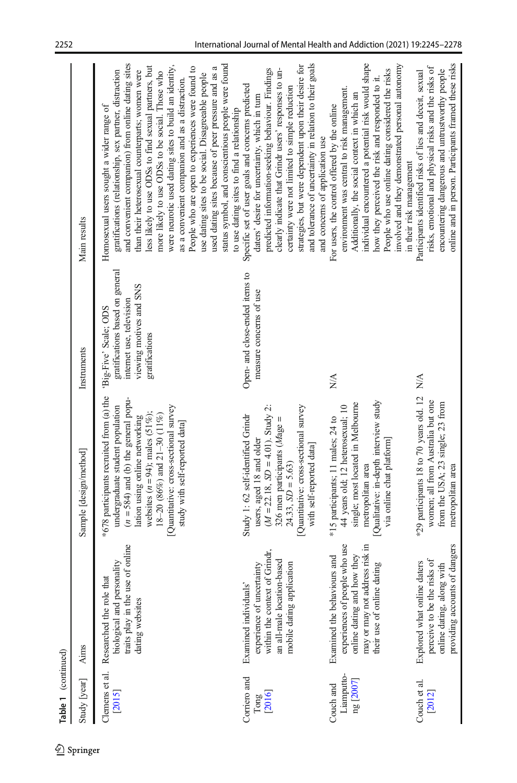| Table 1 (continued)                  |                                                                                                                                                            |                                                                                                                                                                                                                                                                                                         |                                                                                                                                   |                                                                                                                                                                                                                                                                                                                                                                                                                                                                                                                                                                                                                                                                                                          |
|--------------------------------------|------------------------------------------------------------------------------------------------------------------------------------------------------------|---------------------------------------------------------------------------------------------------------------------------------------------------------------------------------------------------------------------------------------------------------------------------------------------------------|-----------------------------------------------------------------------------------------------------------------------------------|----------------------------------------------------------------------------------------------------------------------------------------------------------------------------------------------------------------------------------------------------------------------------------------------------------------------------------------------------------------------------------------------------------------------------------------------------------------------------------------------------------------------------------------------------------------------------------------------------------------------------------------------------------------------------------------------------------|
| Study [year]                         | Aims                                                                                                                                                       | Sample [design/method]                                                                                                                                                                                                                                                                                  | Instruments                                                                                                                       | Main results                                                                                                                                                                                                                                                                                                                                                                                                                                                                                                                                                                                                                                                                                             |
| Clemens et al.<br>[2015]             | of online<br>biological and personality<br>Researched the role that<br>traits play in the use<br>dating websites                                           | *678 participants recruited from (a) the<br>$(n = 584)$ and (b) the general popu-<br>undergraduate student population<br>[Quantitative: cross-sectional survey<br>websites $(n = 94)$ ; males (51%);<br>18-20 (86%) and 21-30 (11%)<br>lation using online networking<br>study with self-reported data] | gratifications based on general<br>viewing motives and SNS<br>internet use, television<br>'Big-Five' Scale; ODS<br>gratifications | and convenient companion) from online dating sites<br>status symbol, and conscientious people were found<br>less likely to use ODSs to find sexual partners, but<br>were neurotic used dating sites to build an identity,<br>People who are open to experiences were found to<br>used dating sites because of peer pressure and as a<br>gratifications (relationship, sex partner, distraction<br>than their heterosexual counterparts; women were<br>more likely to use ODSs to be social. Those who<br>use dating sites to be social. Disagreeable people<br>as a convenient companion and as a distraction.<br>Homosexual users sought a wider range of<br>to use dating sites to find a relationship |
| Corriero and<br>[2016]<br>Tong       | within the context of Grindr,<br>an all-male location-based<br>mobile dating application<br>experience of uncertainty<br>Examined individuals'             | Quantitative: cross-sectional survey<br>$(M = 22.18, SD = 4.01)$ . Study 2:<br>Study 1: 62 self-identified Grindr<br>326 men participants $(Mage =$<br>users, aged 18 and older<br>with self-reported data]<br>$24.33, SD = 5.63$                                                                       | Open- and close-ended items to<br>measure concerns of use                                                                         | and tolerance of uncertainty in relation to their goals<br>strategies, but were dependent upon their desire for<br>clearly indicate that Grindr users' responses to un-<br>predicted information-seeking behaviour. Findings<br>Specific set of user goals and concerns predicted<br>certainty were not limited to simple reduction<br>daters' desire for uncertainty, which in turn<br>and concerns of application use                                                                                                                                                                                                                                                                                  |
| Liamputto-<br>ng [2007]<br>Couch and | experiences of people who use<br>may or may not address risk in<br>online dating and how they<br>Examined the behaviours and<br>their use of online dating | [Qualitative: in-depth interview study<br>single; most located in Melbourne<br>44 years old; 12 heterosexual; 10<br>*15 participants; 11 males; 24 to<br>via online chat platform<br>metropolitan area                                                                                                  | $\sum_{i=1}^{n}$                                                                                                                  | individual encountered a potential risk would shape<br>involved and they demonstrated personal autonomy<br>People who use online dating considered the risks<br>how they perceived the risk and responded to it.<br>environment was central to risk management.<br>Additionally, the social context in which an<br>For users, the control offered by the online<br>in their risk management                                                                                                                                                                                                                                                                                                              |
| Couch et al.<br>[2012]               | providing accounts of dangers<br>perceive to be the risks of<br>Explored what online daters<br>online dating, along with                                   | *29 participants 18 to 70 years old. 12<br>women; all from Australia but one<br>from the USA; 23 single; 23 from<br>metropolitan area                                                                                                                                                                   | ΝÃ                                                                                                                                | online and in person. Participants framed these risks<br>risks, emotional and physical risks and the risks of<br>encountering dangerous and untrustworthy people<br>Participants identified risks of lies and deceit, sexual                                                                                                                                                                                                                                                                                                                                                                                                                                                                             |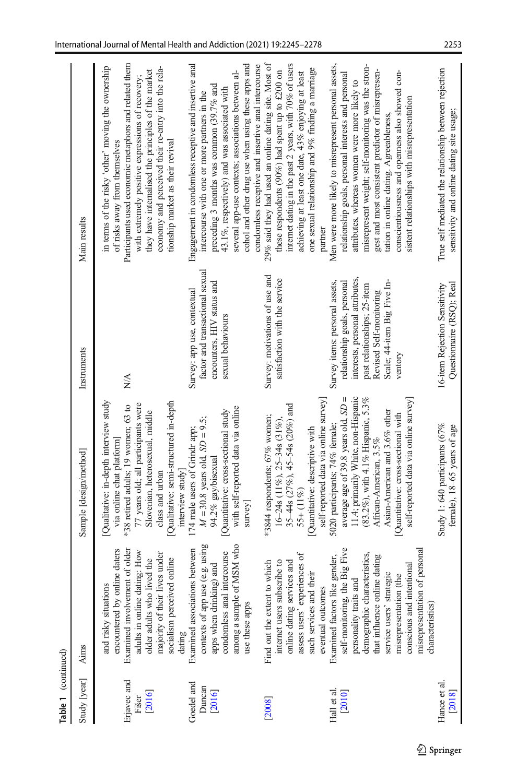| Table 1 (continued)            |                                                                                                                                                                                                                                                                                                     |                                                                                                                                                                                                                                                                                               |                                                                                                                                                                                                       |                                                                                                                                                                                                                                                                                                                                                                                                                         |
|--------------------------------|-----------------------------------------------------------------------------------------------------------------------------------------------------------------------------------------------------------------------------------------------------------------------------------------------------|-----------------------------------------------------------------------------------------------------------------------------------------------------------------------------------------------------------------------------------------------------------------------------------------------|-------------------------------------------------------------------------------------------------------------------------------------------------------------------------------------------------------|-------------------------------------------------------------------------------------------------------------------------------------------------------------------------------------------------------------------------------------------------------------------------------------------------------------------------------------------------------------------------------------------------------------------------|
| Study [year]                   | Aims                                                                                                                                                                                                                                                                                                | Sample [design/method]                                                                                                                                                                                                                                                                        | Instruments                                                                                                                                                                                           | Main results                                                                                                                                                                                                                                                                                                                                                                                                            |
| Erjavec and<br>[2016]<br>Fišer | Examined involvement of older<br>encountered by online daters<br>adults in online dating: How<br>majority of their lives under<br>lived the<br>socialism perceived online<br>and risky situations<br>older adults who                                                                               | Qualitative: in-depth interview study<br>Qualitative: semi-structured in-depth<br>77 years old; all participants were<br>*38 retired adults; 19 women; 63 to<br>Slovenian, heterosexual, middle<br>via online chat platform]<br>class and urban                                               | NA                                                                                                                                                                                                    | Participants used economic metaphors and related them<br>in terms of the risky 'other' moving the ownership<br>economy and perceived their re-entry into the rela-<br>they have internalised the principles of the market<br>with extremely positive expressions of recovery;<br>tionship market as their revival<br>of risks away from themselves                                                                      |
| Goedel and<br>Duncan<br>[2016] | contexts of app use (e.g. using<br>among a sample of MSM who<br>dating<br>Examined associations between<br>intercourse<br>apps when drinking) and<br>condomless anal i<br>use these apps                                                                                                            | with self-reported data via online<br>Quantitative: cross-sectional study<br>$M = 30.8$ years old, $SD = 9.5$ ;<br>174 male users of Grindr app;<br>94.2% gay/bisexual<br>interview study<br>$s$ urvey                                                                                        | factor and transactional sexual<br>encounters, HIV status and<br>Survey: app use, contextual<br>sexual behaviours                                                                                     | Engagement in condomless receptive and insertive anal<br>cohol and other drug use when using these apps and<br>condomless receptive and insertive anal intercourse<br>several app-use contexts; associations between al-<br>preceding 3 months was common $(39.7\%$ and<br>43.1%, respectively) and was associated with<br>intercourse with one or more partners in the                                                 |
| [2008]                         | assess users' experiences of<br>online dating services and<br>internet users subscribe to<br>to which<br>such services and their<br>eventual outcomes<br>Find out the extent t                                                                                                                      | self-reported data via online survey]<br>35-44s (27%), 45-54s (20%) and<br>*3844 respondents; $67%$ women;<br>$16-24s$ (11%), 25-34s (31%),<br>Quantitative: descriptive with<br>$55 + (11\%)$                                                                                                | Survey: motivations of use and<br>satisfaction with the service                                                                                                                                       | internet dating in the past 2 years, with 70% of users<br>29% said they had used an online dating site. Most of<br>one sexual relationship and 9% finding a marriage<br>these respondents (90%) had spent up to £200 on<br>achieving at least one date, 43% enjoying at least<br>partner                                                                                                                                |
| Hall et al<br>[2010]           | self-monitoring, the Big Five<br>of personal<br>demographic characteristics,<br>Examined factors like gender,<br>that influence online dating<br>conscious and intentional<br>service users' strategic<br>misrepresentation (the<br>personality traits and<br>misrepresentation<br>characteristics) | 11.4; primarily White, non-Hispanic<br>average age of 39.8 years old, $SD =$<br>(83.2%), with 4.1% Hispanic, 5.3%<br>self-reported data via online survey]<br>Asian-American and 3.6% other<br>Quantitative: cross-sectional with<br>5020 participants; 74% female;<br>African-American, 3.5% | interests, personal attributes,<br>Survey items: personal assets,<br>relationship goals, personal<br>Scale; 44-item Big Five In-<br>past relationships; 25-item<br>Revised Self-monitoring<br>ventory | misrepresent weight; self-monitoring was the stron-<br>Men were more likely to misrepresent personal assets,<br>conscientiousness and openness also showed con-<br>gest and most consistent predictor of misrepresen-<br>relationship goals, personal interests and personal<br>attributes, whereas women were more likely to<br>sistent relationships with misrepresentation<br>tation in online dating. Agreeableness |
| Hance et al.<br>[2018]         |                                                                                                                                                                                                                                                                                                     | Study 1:640 participants $(67\%$<br>female), 18-65 years of age                                                                                                                                                                                                                               | 16-item Rejection Sensitivity<br>Questionnaire (RSQ); Real                                                                                                                                            | True self mediated the relationship between rejection<br>sensitivity and online dating site usage:                                                                                                                                                                                                                                                                                                                      |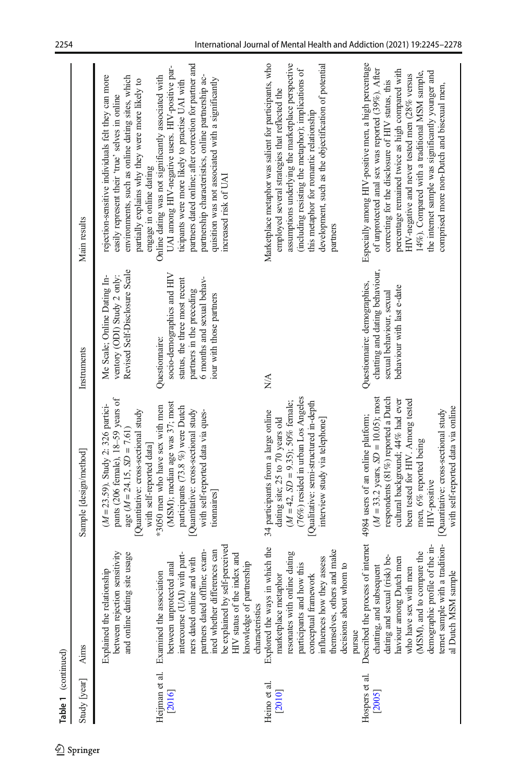| Table 1 (continued)      |                                                                                                                                                                                                                                                                                       |                                                                                                                                                                                                                                                                                                                            |                                                                                                                                                                      |                                                                                                                                                                                                                                                                                                                                                                                                                        |
|--------------------------|---------------------------------------------------------------------------------------------------------------------------------------------------------------------------------------------------------------------------------------------------------------------------------------|----------------------------------------------------------------------------------------------------------------------------------------------------------------------------------------------------------------------------------------------------------------------------------------------------------------------------|----------------------------------------------------------------------------------------------------------------------------------------------------------------------|------------------------------------------------------------------------------------------------------------------------------------------------------------------------------------------------------------------------------------------------------------------------------------------------------------------------------------------------------------------------------------------------------------------------|
| Study [year]             | <b>Aims</b>                                                                                                                                                                                                                                                                           | Sample [design/method]                                                                                                                                                                                                                                                                                                     | Instruments                                                                                                                                                          | Main results                                                                                                                                                                                                                                                                                                                                                                                                           |
|                          | between rejection sensitivity<br>te usage<br>Explained the relationship<br>and online dating si                                                                                                                                                                                       | pants (206 female), 18-59 years of<br>$(M = 23.59)$ . Study 2: 326 partici-<br>Quantitative: cross-sectional study<br>age $(M = 24.15, SD = 7.61$<br>with self-reported data]                                                                                                                                              | Revised Self-Disclosure Scale<br>ventory (ODI) Study 2 only:<br>Me Scale; Online Dating In-                                                                          | rejection-sensitive individuals felt they can more<br>environments, such as online dating sites, which<br>partially explains why they were more likely to<br>easily represent their 'true' selves in online<br>engage in online dating                                                                                                                                                                                 |
| Heijman et al.<br>[2016] | be explained by self-perceived<br>partners dated offline; exam-<br>ined whether differences can<br>HIV status of the index and<br>intercourse (UAI) with part-<br>ners dated online and with<br>between unprotected anal<br>Examined the association                                  | (MSM); median age was 37; most<br>*3050 men who have sex with men<br>participants (73.8 %) were Dutch<br>Quantitative: cross-sectional study<br>with self-reported data via ques-<br>tionnaires                                                                                                                            | socio-demographics and HIV<br>6 months and sexual behav-<br>status, the three most recent<br>partners in the preceding<br>iour with those partners<br>Questionnaire: | partners dated online; after correction for partner and<br>UAI among HIV-negative users. HIV-positive par-<br>Online dating was not significantly associated with<br>partnership characteristics, online partnership ac-<br>quisition was not associated with a significantly<br>ticipants were more likely to practise UAI with<br>increased risk of UAI                                                              |
| Heino et al.<br>[2010]   | which the<br>themselves, others and make<br>resonates with online dating<br>influences how they assess<br>knowledge of partnership<br>participants and how this<br>decisions about whom to<br>conceptual framework<br>marketplace metaphor<br>Explored the ways in<br>characteristics | (76%) resided in urban Los Angeles<br>$(M = 42, SD = 9.35)$ ; 50% female;<br>Qualitative: semi-structured in-depth<br>34 participants from a large online<br>dating site; 25 to 70 years old<br>interview study via telephone                                                                                              | N/A                                                                                                                                                                  | Marketplace metaphor was salient for participants, who<br>assumptions underlying the marketplace perspective<br>development, such as the objectification of potential<br>(including resisting the metaphor); implications of<br>employed several strategies that reflected the<br>this metaphor for romantic relationship<br>partners                                                                                  |
| Hospers et al.<br>[2005] | Described the process of internet<br>ternet sample with a tradition-<br>demographic profile of the in-<br>(MSM), and to compare the<br>dating and sexual (risk) be-<br>haviour among Dutch men<br>chatting, and subsequent<br>who have sex with men<br>al Dutch MSM sample<br>pursue  | $(M = 33.2 \text{ years}, SD = 10.05)$ ; most<br>respondents (81%) reported a Dutch<br>cultural background; 44% had ever<br>been tested for HIV. Among tested<br>with self-reported data via online<br>[Quantitative: cross-sectional study<br>4984 users of an online platform;<br>men, 6% reported being<br>HIV-positive | chatting and dating behaviour,<br>Questiomaire: demographics,<br>behaviour with last e-date<br>sexual behaviour, sexual                                              | Especially among HIV-positive men, a high percentage<br>of unprotected anal sex was reported (39%). After<br>percentage remained twice as high compared with<br>the internet sample was significantly younger and<br>14%). Compared with a traditional MSM sample,<br>HIV-negative and never tested men (28% versus<br>correcting for the disclosure of HIV status, this<br>comprised more non-Dutch and bisexual men, |

 $\mathcal{D}$  Springer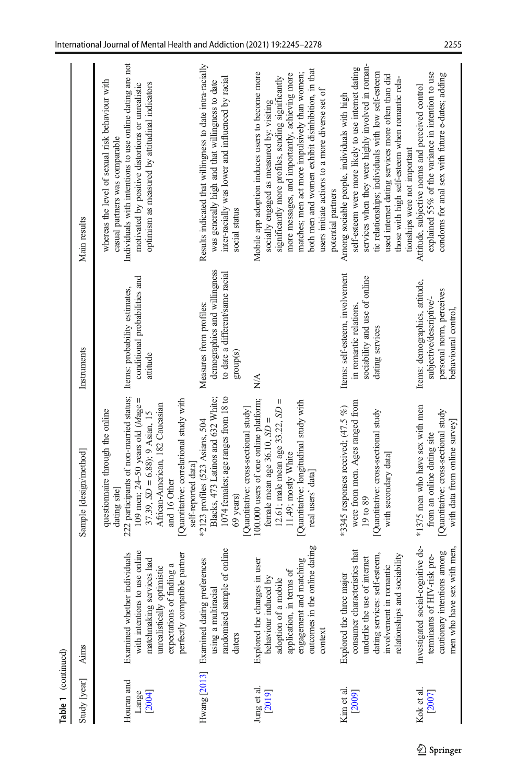| Table 1 (continued)           |                                                                                                                                                                                        |                                                                                                                                                                                                                                                                                                 |                                                                                                                |                                                                                                                                                                                                                                                                                                                                                                                      |
|-------------------------------|----------------------------------------------------------------------------------------------------------------------------------------------------------------------------------------|-------------------------------------------------------------------------------------------------------------------------------------------------------------------------------------------------------------------------------------------------------------------------------------------------|----------------------------------------------------------------------------------------------------------------|--------------------------------------------------------------------------------------------------------------------------------------------------------------------------------------------------------------------------------------------------------------------------------------------------------------------------------------------------------------------------------------|
| Study [year]                  | Aims                                                                                                                                                                                   | Sample [design/method]                                                                                                                                                                                                                                                                          | Instruments                                                                                                    | Main results                                                                                                                                                                                                                                                                                                                                                                         |
| Houran and<br>[2004]<br>Lange | with intentions to use online<br>perfectly compatible partner<br>Examined whether individuals<br>matchmaking services had<br>expectations of finding a<br>unrealistically optimistic   | 222 participants of non-married status;<br>109 men; $24-50$ years old $(Mage =$<br>Quantitative: correlational study with<br>African-American, 182 Caucasian<br>questionnaire through the online<br>$37.39$ , $SD = 6.88$ ; $9$ Asian, 15<br>self-reported data<br>and 16 Other<br>dating site] | conditional probabilities and<br>Items: probability estimates,<br>attitude                                     | Individuals with intentions to use online dating are not<br>whereas the level of sexual risk behaviour with<br>optimism as measured by attitudinal indicators<br>motivated by positive distortions or unrealistic<br>casual partners was comparable                                                                                                                                  |
|                               | of online<br>Hwang [2013] Examined dating preferences<br>randomised sample<br>using a multiracial<br>daters                                                                            | 1074 females; age ranges from 18 to<br>Blacks, 473 Latinos and 632 White;<br>Quantitative: cross-sectional study]<br>*2123 profiles (523 Asians, 504<br>69 years)                                                                                                                               | demographics and willingness<br>to date a different/same racial<br>Measures from profiles:<br>group(s)         | Results indicated that willingness to date intra-racially<br>inter-racially was lower and influenced by racial<br>was generally high and that willingness to date<br>social status                                                                                                                                                                                                   |
| Jung et al.<br>[2019]         | outcomes in the online dating<br>engagement and matching<br>in user<br>application, in terms of<br>behaviour induced by<br>adoption of a mobile<br>Explored the changes<br>context     | 100.000 users of one online platform;<br>II<br>Quantitative: longitudinal study with<br>12.61; male mean age 33.22, SD<br>female mean age $36.10$ , $SD =$<br>11.49; mostly White<br>real users' data                                                                                           | N/A                                                                                                            | both men and women exhibit disinhibition, in that<br>Mobile app adoption induces users to become more<br>matches; men act more impulsively than women;<br>more messages, and importantly, achieving more<br>significantly more profiles, sending significantly<br>users initiate actions to a more diverse set of<br>socially engaged as measured by: visiting<br>potential partners |
| Kim et al.<br>[2009]          | consumer characteristics that<br>dating services: self-esteem,<br>relationships and sociability<br>underlie the use of internet<br>involvement in romantic<br>Explored the three major | were from men. Ages ranged from<br>*3345 responses received; $(47.5\%)$<br>Quantitative: cross-sectional study<br>with secondary data]<br>19 to 89                                                                                                                                              | Items: self-esteem, involvement<br>sociability and use of online<br>in romantic relations.<br>dating services  | services when they were highly involved in roman-<br>self-esteem were more likely to use internet dating<br>tic relationships; individuals with low self-esteem<br>used internet dating services more often than did<br>those with high self-esteem when romantic rela-<br>Among sociable people, individuals with high<br>tionships were not important                              |
| Kok et al.<br>[2007]          | Investigated social-cognitive de-<br>men who have sex with men<br>cautionary intentions among<br>terminants of HIV-risk pre-                                                           | *1375 men who have sex with men<br>Quantitative: cross-sectional study<br>with data from online survey<br>from an online dating site                                                                                                                                                            | Items: demographics, attitude,<br>personal norm, perceives<br>subjective/descriptive/-<br>behavioural control. | explained 55% of the variance in intention to use<br>condoms for anal sex with future e-dates; adding<br>Attitude, subjective norms and perceived control                                                                                                                                                                                                                            |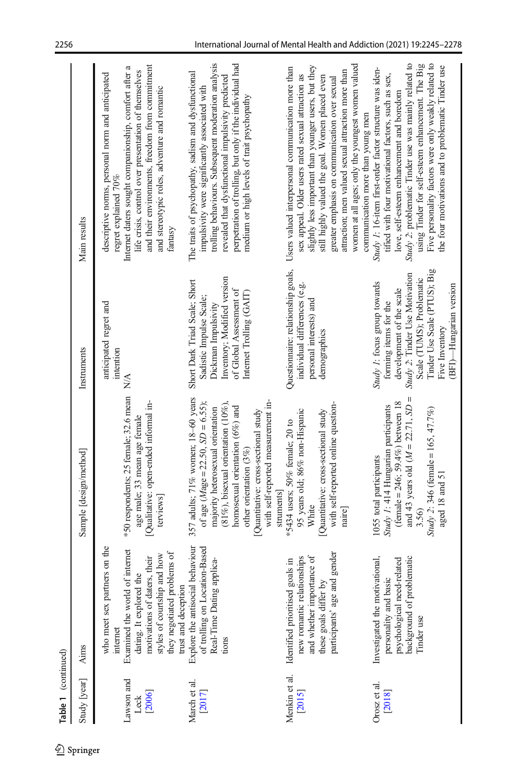| Table 1 (continued)          |                                                                                                                                                                                                                            |                                                                                                                                                                                                                                                                                                                        |                                                                                                                                                                                                                               |                                                                                                                                                                                                                                                                                                                                                                                                                      |
|------------------------------|----------------------------------------------------------------------------------------------------------------------------------------------------------------------------------------------------------------------------|------------------------------------------------------------------------------------------------------------------------------------------------------------------------------------------------------------------------------------------------------------------------------------------------------------------------|-------------------------------------------------------------------------------------------------------------------------------------------------------------------------------------------------------------------------------|----------------------------------------------------------------------------------------------------------------------------------------------------------------------------------------------------------------------------------------------------------------------------------------------------------------------------------------------------------------------------------------------------------------------|
| Study [year]                 | <b>Aims</b>                                                                                                                                                                                                                | Sample [design/method]                                                                                                                                                                                                                                                                                                 | Instruments                                                                                                                                                                                                                   | Main results                                                                                                                                                                                                                                                                                                                                                                                                         |
| Lawson and<br>[2006]<br>Leck | who meet sex partners on the<br>Examined the world of internet<br>they negotiated problems of<br>styles of courtship and how<br>motivations of daters, their<br>dating. It explored the<br>trust and deception<br>internet | *50 respondents; 25 female; 32.6 mean<br>[Qualitative: open-ended informal in-<br>age male; 33 mean age female<br>terviews]                                                                                                                                                                                            | anticipated regret and<br>intention<br>$\frac{\triangleleft}{\triangle}$                                                                                                                                                      | and their environments, freedom from commitment<br>Internet daters sought companionship, comfort after a<br>life crisis, control over presentation of themselves<br>descriptive norms, personal norm and anticipated<br>and stereotypic roles, adventure and romantic<br>regret explained 70%<br>fantasy                                                                                                             |
| March et al.<br>[2017]       | behaviour<br>of trolling on Location-Based<br>Real-Time Dating applica-<br>Explore the antisocial<br>tions                                                                                                                 | 357 adults; 71% women; 18-60 years<br>with self-reported measurement in-<br>of age $(Mage = 22.50, SD = 6.55)$ ;<br>$(81\%)$ , bisexual orientation (10%),<br>homosexual orientation $(6\%)$ and<br>majority heterosexual orientation<br>Quantitative: cross-sectional study<br>other orientation $(3\%)$<br>struments | Inventory; Modified version<br>Short Dark Triad Scale; Short<br>of Global Assessment of<br>Internet Trolling (GAIT)<br>Sadistic Impulse Scale;<br>Dickman Impulsivity                                                         | trolling behaviours. Subsequent moderation analysis<br>perpetration of trolling, but only if the individual had<br>The traits of psychopathy, sadism and dysfunctional<br>revealed that dysfunctional impulsivity predicted<br>impulsivity were significantly associated with<br>medium or high levels of trait psychopathy                                                                                          |
| Menkin et al.<br>[2015]      | participants' age and gender<br>new romantic relationships<br>and whether importance of<br>Identified prioritised goals in<br>these goals differ by                                                                        | with self-reported online question-<br>95 years old; 86% non-Hispanic<br>Quantitative: cross-sectional study<br>*5434 users; 50% female; 20 to<br>White<br>naire                                                                                                                                                       | Questionnaire: relationship goals,<br>individual differences (e.g.<br>personal interests) and<br>demographics                                                                                                                 | women at all ages; only the youngest women valued<br>slightly less important than younger users, but they<br>Users valued interpersonal communication more than<br>attraction; men valued sexual attraction more than<br>sex appeal. Older users rated sexual attraction as<br>still highly valued the goal. Women placed even<br>greater emphasis on communication over sexual<br>communication more than young men |
| Orosz et al.<br>[2018]       | background of problematic<br>Investigated the motivational,<br>psychological need-related<br>personality and basic<br>Tinder use                                                                                           | and 43 years old $(M = 22.71, SD =$<br>$(female = 246; 59.4\%)$ between 18<br>Study 1: 414 Hungarian participants<br>Study 2: 346 (female = 165, 47.7%)<br>1055 total participants<br>aged 18 and 51<br>3.56)                                                                                                          | Tinder Use Scale (PTUS); Big<br>Study 2: Tinder Use Motivation<br>Scale (TUMS); Problematic<br>Study 1: focus group towards<br>(BFI)—Hungarian version<br>development of the scale<br>forming items for the<br>Five Inventory | Study 2: problematic Tinder use was mainly related to<br>Five personality factors were only weakly related to<br>using Tinder for self-esteem enhancement. The Big<br>the four motivations and to problematic Tinder use<br>Study 1: 16-item first-order factor structure was iden-<br>tified with four motivational factors, such as sex,<br>love, self-esteem enhancement and boredom                              |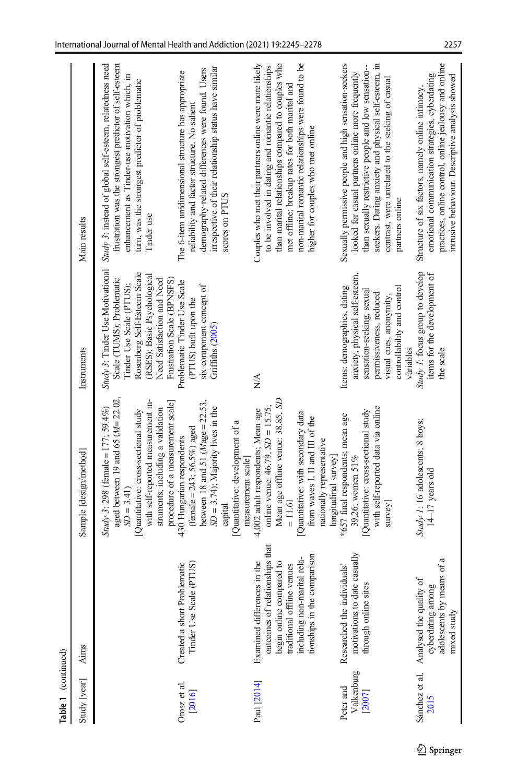| Table 1 (continued)               |                                                                                                                                                                                       |                                                                                                                                                                                                                                                           |                                                                                                                                                                                                                     |                                                                                                                                                                                                                                                                                                                    |
|-----------------------------------|---------------------------------------------------------------------------------------------------------------------------------------------------------------------------------------|-----------------------------------------------------------------------------------------------------------------------------------------------------------------------------------------------------------------------------------------------------------|---------------------------------------------------------------------------------------------------------------------------------------------------------------------------------------------------------------------|--------------------------------------------------------------------------------------------------------------------------------------------------------------------------------------------------------------------------------------------------------------------------------------------------------------------|
| Study [year]                      | Aims                                                                                                                                                                                  | Sample [design/method]                                                                                                                                                                                                                                    | Instruments                                                                                                                                                                                                         | Main results                                                                                                                                                                                                                                                                                                       |
|                                   |                                                                                                                                                                                       | aged between 19 and 65 $(M=22.02,$<br>with self-reported measurement in-<br>procedure of a measurement scale]<br>Study 3: 298 (female = 177; 59.4%)<br>struments; including a validation<br>Quantitative: cross-sectional study<br>$SD = 3.41$            | Study 3: Tinder Use Motivational<br>Rosenberg Self-Esteem Scale<br>(RSES); Basic Psychological<br>Scale (TUMS); Problematic<br>Need Satisfaction and Need<br>Frustration Scale (BPNSFS)<br>Tinder Use Scale (PTUS); | Study 3: instead of global self-esteem, relatedness need<br>frustration was the strongest predictor of self-esteem<br>enhancement as Tinder-use motivation which, in<br>turn, was the strongest predictor of problematic<br>Tinder use                                                                             |
| Orosz et al.<br>[2016]            | PTUS)<br>Created a short Problematic<br>Tinder Use Scale (I                                                                                                                           | between 18 and 51 $(Mage = 22.53,$<br>$SD = 3.74$ ; Majority lives in the<br>Quantitative: development of a<br>$(female = 243; 56.5%) aged$<br>430 Hungarian respondents<br>measurement scale<br>capital                                                  | Problematic Tinder Use Scale<br>six-component concept of<br>(PTUS) built upon the<br>Griffiths (2005)                                                                                                               | irrespective of their relationship status have similar<br>demography-related differences were found. Users<br>The 6-item unidimensional structure has appropriate<br>reliability and factor structure. No salient<br>scores on PTUS                                                                                |
| Paul [2014]                       | outcomes of relationships that<br>tionships in the comparison<br>including non-marital rela-<br>Examined differences in the<br>begin online compared to<br>traditional offline venues | Mean age offline venue: 38.85, SD<br>online venue: $46.79$ , $SD = 15.75$ ;<br>4,002 adult respondents; Mean age<br>Quantitative: with secondary data<br>from waves I, II and III of the<br>nationally representative<br>longitudinal survey<br>$= 11.61$ | NA.                                                                                                                                                                                                                 | than marital relationships compared to couples who<br>non-marital romantic relationships were found to be<br>Couples who met their partners online were more likely<br>to be involved in dating and romantic relationships<br>met offline; breakup rates for both marital and<br>higher for couples who met online |
| Valkenburg<br>Peter and<br>[2007] | casually<br>Researched the individuals'<br>motivations to date<br>through online sites                                                                                                | with self-reported data via online<br>Quantitative: cross-sectional study<br>*657 final respondents; mean age<br>39.26; women 51%<br>survey                                                                                                               | anxiety, physical self-esteem,<br>Items: demographics, dating<br>controllability and control<br>sensation-seeking, sexual<br>permissiveness, reduced<br>visual cues, anonymity,<br>variables                        | Sexually permissive people and high sensation-seekers<br>seekers. Dating anxiety and physical self-esteem, in<br>than sexually restrictive people and low sensation-<br>looked for casual partners online more frequently<br>contrast, were unrelated to the seeking of casual<br>partners online                  |
| Sánchez et al.<br>2015            | adolescents by means of a<br>Analysed the quality of<br>cyberdating among<br>mixed study                                                                                              | Study 1: 16 adolescents; 8 boys;<br>$14-17$ years old                                                                                                                                                                                                     | Study 1: focus group to develop<br>items for the development of<br>the scale                                                                                                                                        | practices, online control, online jealousy and online<br>emotional communication strategies, cyberdating<br>intrusive behaviour. Descriptive analysis showed<br>Structure of six factors, namely online intimacy,                                                                                                  |

 $\underline{\textcircled{2}}$  Springer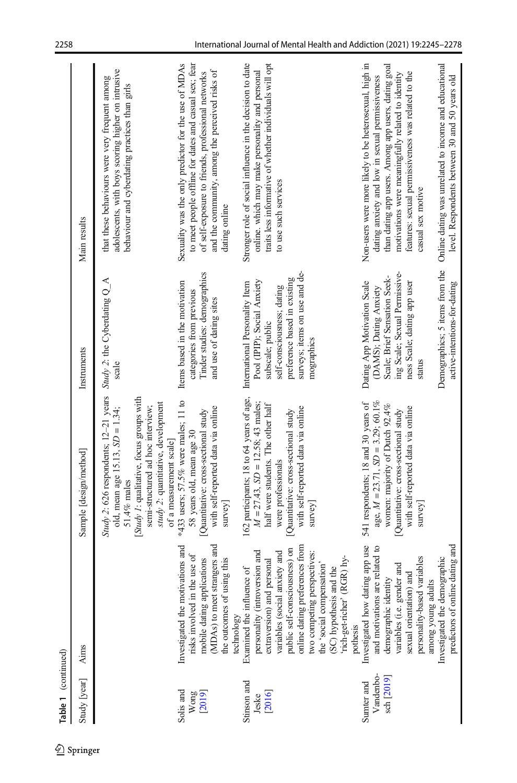| Table 1 (continued)                   |                                                                                                                                                                                                                                                                                                                               |                                                                                                                                                                                                                                               |                                                                                                                                                                                                                                   |                                                                                                                                                                                                                                                                                                                                                                                                             |
|---------------------------------------|-------------------------------------------------------------------------------------------------------------------------------------------------------------------------------------------------------------------------------------------------------------------------------------------------------------------------------|-----------------------------------------------------------------------------------------------------------------------------------------------------------------------------------------------------------------------------------------------|-----------------------------------------------------------------------------------------------------------------------------------------------------------------------------------------------------------------------------------|-------------------------------------------------------------------------------------------------------------------------------------------------------------------------------------------------------------------------------------------------------------------------------------------------------------------------------------------------------------------------------------------------------------|
| Study [year]                          | <b>Aims</b>                                                                                                                                                                                                                                                                                                                   | Sample [design/method]                                                                                                                                                                                                                        | Instruments                                                                                                                                                                                                                       | Main results                                                                                                                                                                                                                                                                                                                                                                                                |
|                                       |                                                                                                                                                                                                                                                                                                                               | Study 2: 626 respondents; $12-21$ years<br>[Study 1: qualitative, focus groups with<br>study 2: quantitative, development<br>semi-structured ad hoc interview;<br>old, mean age 15.13, $SD = 1.34$ ;<br>of a measurement scale<br>51.4% males | Study 2: the Cyberdating $Q_A$<br>scale                                                                                                                                                                                           | adolescents, with boys scoring higher on intrusive<br>that these behaviours were very frequent among<br>behaviour and cyberdating practices than girls                                                                                                                                                                                                                                                      |
| Solis and<br>[2019]<br>Wong           | (MDAs) to meet strangers and<br>Investigated the motivations and<br>risks involved in the use of<br>mobile dating applications<br>the outcomes of using this<br>technology                                                                                                                                                    | *433 users; 57.5% were males; 11 to<br>with self-reported data via online<br>Quantitative: cross-sectional study<br>58 years old, mean age 30<br>$s$ urvey                                                                                    | Tinder studies: demographics<br>Items based in the motivation<br>categories from previous<br>and use of dating sites                                                                                                              | Sexuality was the only predictor for the use of MDAs<br>to meet people offline for dates and casual sex; fear<br>and the community, among the perceived risks of<br>of self-exposure to friends, professional networks<br>dating online                                                                                                                                                                     |
| Stinson and<br>[2016]<br>Jeske        | online dating preferences from<br>public self-consciousness) on<br>personality (introversion and<br>variables (social anxiety and<br>two competing perspectives:<br>rich-get-richer' (RGR) hy-<br>extraversion) and personal<br>the 'social compensation'<br>(SC) hypothesis and the<br>Examined the influence of<br>pothesis | 162 participants; 18 to 64 years of age,<br>$M = 27.43$ , $SD = 12.58$ ; 43 males;<br>half were students. The other half<br>with self-reported data via online<br>Quantitative: cross-sectional study<br>were professionals<br>$s$ urvey]     | surveys; items on use and de-<br>preference based in existing<br>Pool (IPIP); Social Anxiety<br>International Personality Item<br>self-consciousness; dating<br>subscale; public<br>mographics                                    | Stronger role of social influence in the decision to date<br>traits less informative of whether individuals will opt<br>online. which may make personality and personal<br>to use such services                                                                                                                                                                                                             |
| Vandenbo-<br>sch [2019]<br>Sumter and | Investigated how dating app use<br>predictors of online dating and<br>and motivations are related to<br>Investigated the demographic<br>personality-based variables<br>demographic identity<br>variables (i.e. gender and<br>and<br>among young adults<br>sexual orientation)                                                 | age, $M = 23.71$ , $SD = 3.29$ ; 60.1%<br>541 respondents; 18 and 30 years of<br>women: majority of Dutch 92.4%<br>with self-reported data via online<br>Quantitative: cross-sectional study<br>survey                                        | Demographics; 5 items from the<br>ing Scale; Sexual Permissive-<br>Scale; Brief Sensation Seek-<br>Dating App Motivation Scale<br>ness Scale; dating app user<br>active-intentions-for-dating<br>(DAMS); Dating Anxiety<br>status | Non-users were more likely to be heterosexual, high in<br>Online dating was unrelated to income and educational<br>than dating app users. Among app users, dating goal<br>features: sexual permissiveness was related to the<br>motivations were meaningfully related to identity<br>dating anxiety and low in sexual permissiveness<br>level. Respondents between 30 and 50 years old<br>casual sex motive |

 $\mathcal{D}$  Springer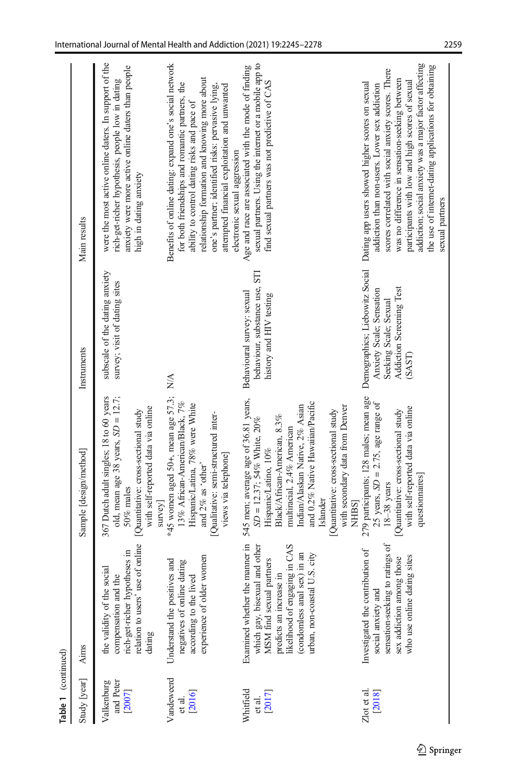| Table 1 (continued)               |                                                                                                                                                                                                                           |                                                                                                                                                                                                                                                                                                                                            |                                                                                                  |                                                                                                                                                                                                                                                                                                                                                                                                                                   |
|-----------------------------------|---------------------------------------------------------------------------------------------------------------------------------------------------------------------------------------------------------------------------|--------------------------------------------------------------------------------------------------------------------------------------------------------------------------------------------------------------------------------------------------------------------------------------------------------------------------------------------|--------------------------------------------------------------------------------------------------|-----------------------------------------------------------------------------------------------------------------------------------------------------------------------------------------------------------------------------------------------------------------------------------------------------------------------------------------------------------------------------------------------------------------------------------|
| Study [year]                      | Aims                                                                                                                                                                                                                      | Sample [design/method]                                                                                                                                                                                                                                                                                                                     | Instruments                                                                                      | Main results                                                                                                                                                                                                                                                                                                                                                                                                                      |
| and Peter<br>Valkenburg<br>[2007] | relation to users' use of online<br>rich-get-richer hypotheses in<br>social<br>compensation and the<br>the validity of the<br>dating                                                                                      | 367 Dutch adult singles; 18 to 60 years<br>old, mean age 38 years, $SD = 12.7$ ;<br>with self-reported data via online<br>[Quantitative: cross-sectional study<br>50% males<br>$s$ urvey]                                                                                                                                                  | subscale of the dating anxiety<br>survey; visit of dating sites                                  | were the most active online daters. In support of the<br>anxiety were more active online daters than people<br>rich-get-richer hypothesis, people low in dating<br>high in dating anxiety                                                                                                                                                                                                                                         |
| Vandeweerd<br>[2016]<br>et al.    | experience of older women<br>Understand the positives and<br>negatives of online dating<br>according to the lived                                                                                                         | $*45$ women aged 50+, mean age 57.3;<br>13% African-American/Black, 7%<br>Hispanic/Latina, 78% were White<br>Qualitative: semi-structured inter-<br>views via telephone]<br>and 2% as 'other'                                                                                                                                              | $\frac{\triangleleft}{\triangle}$                                                                | Benefits of online dating: expand one's social network<br>relationship formation and knowing more about<br>for both friendships and romantic partners, the<br>one's partner; identified risks: pervasive lying,<br>attempted financial exploitation and unwanted<br>ability to control dating risks and pace of<br>electronic sexual aggression                                                                                   |
| Whitfield<br>[2017]<br>et al.     | Examined whether the manner in<br>likelihood of engaging in CAS<br>which gay, bisexual and other<br>(condomless anal sex) in an<br>U.S. city<br>MSM find sexual partners<br>predicts an increase in<br>urban, non-coastal | 545 men; average age of 36.81 years,<br>and 0.2% Native Hawaiian/Pacific<br>Indian/Alaskan Native, 2% Asian<br>with secondary data from Denver<br>Quantitative: cross-sectional study<br>Black/African-American, 8.3%<br>SD = 12.37; 54% White, 20%<br>multiracial, 2.4% American<br>Hispanic/Latino, 10%<br>Islander<br>NHBS <sub>1</sub> | <b>STI</b><br>behaviour, substance use,<br>Behavioural survey: sexual<br>history and HIV testing | sexual partners. Using the internet or a mobile app to<br>Age and race are associated with the mode of finding<br>find sexual partners was not predictive of CAS                                                                                                                                                                                                                                                                  |
| Zlot et al.<br>[2018]             | sensation-seeking to ratings of<br>Investigated the contribution of<br>who use online dating sites<br>sex addiction among those<br>social anxiety and                                                                     | 279 participants; 128 males; mean age<br>25 years, $SD = 2.75$ , age range of<br>with self-reported data via online<br>Quantitative: cross-sectional study<br>questionnaires]<br>$18-38$ years                                                                                                                                             | Addiction Screening Test<br>Anxiety Scale; Sensation<br>Seeking Scale; Sexual<br>(SAST)          | addiction; social anxiety was a major factor affecting<br>the use of internet-dating applications for obtaining<br>scores correlated with social anxiety scores. There<br>was no difference in sensation-seeking between<br>participants with low and high scores of sexual<br>Demographics; Liebowitz Social Dating app users showed higher scores on sexual<br>addiction than non-users. Lower sex addiction<br>sexual partners |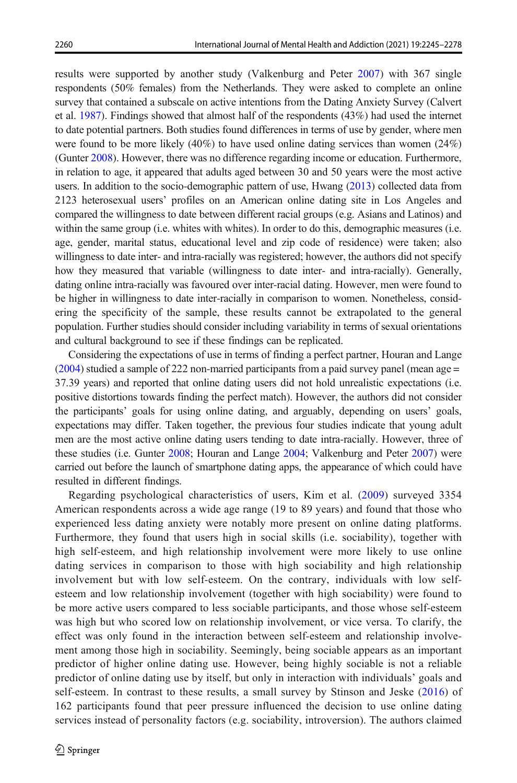results were supported by another study (Valkenburg and Peter [2007](#page-32-0)) with 367 single respondents (50% females) from the Netherlands. They were asked to complete an online survey that contained a subscale on active intentions from the Dating Anxiety Survey (Calvert et al. [1987\)](#page-29-0). Findings showed that almost half of the respondents (43%) had used the internet to date potential partners. Both studies found differences in terms of use by gender, where men were found to be more likely  $(40\%)$  to have used online dating services than women  $(24\%)$ (Gunter [2008\)](#page-30-0). However, there was no difference regarding income or education. Furthermore, in relation to age, it appeared that adults aged between 30 and 50 years were the most active users. In addition to the socio-demographic pattern of use, Hwang [\(2013\)](#page-30-0) collected data from 2123 heterosexual users' profiles on an American online dating site in Los Angeles and compared the willingness to date between different racial groups (e.g. Asians and Latinos) and within the same group (i.e. whites with whites). In order to do this, demographic measures (i.e. age, gender, marital status, educational level and zip code of residence) were taken; also willingness to date inter- and intra-racially was registered; however, the authors did not specify how they measured that variable (willingness to date inter- and intra-racially). Generally, dating online intra-racially was favoured over inter-racial dating. However, men were found to be higher in willingness to date inter-racially in comparison to women. Nonetheless, considering the specificity of the sample, these results cannot be extrapolated to the general population. Further studies should consider including variability in terms of sexual orientations and cultural background to see if these findings can be replicated.

Considering the expectations of use in terms of finding a perfect partner, Houran and Lange ([2004](#page-30-0)) studied a sample of 222 non-married participants from a paid survey panel (mean age = 37.39 years) and reported that online dating users did not hold unrealistic expectations (i.e. positive distortions towards finding the perfect match). However, the authors did not consider the participants' goals for using online dating, and arguably, depending on users' goals, expectations may differ. Taken together, the previous four studies indicate that young adult men are the most active online dating users tending to date intra-racially. However, three of these studies (i.e. Gunter [2008;](#page-30-0) Houran and Lange [2004](#page-30-0); Valkenburg and Peter [2007\)](#page-32-0) were carried out before the launch of smartphone dating apps, the appearance of which could have resulted in different findings.

Regarding psychological characteristics of users, Kim et al. ([2009\)](#page-31-0) surveyed 3354 American respondents across a wide age range (19 to 89 years) and found that those who experienced less dating anxiety were notably more present on online dating platforms. Furthermore, they found that users high in social skills (i.e. sociability), together with high self-esteem, and high relationship involvement were more likely to use online dating services in comparison to those with high sociability and high relationship involvement but with low self-esteem. On the contrary, individuals with low selfesteem and low relationship involvement (together with high sociability) were found to be more active users compared to less sociable participants, and those whose self-esteem was high but who scored low on relationship involvement, or vice versa. To clarify, the effect was only found in the interaction between self-esteem and relationship involvement among those high in sociability. Seemingly, being sociable appears as an important predictor of higher online dating use. However, being highly sociable is not a reliable predictor of online dating use by itself, but only in interaction with individuals' goals and self-esteem. In contrast to these results, a small survey by Stinson and Jeske ([2016](#page-32-0)) of 162 participants found that peer pressure influenced the decision to use online dating services instead of personality factors (e.g. sociability, introversion). The authors claimed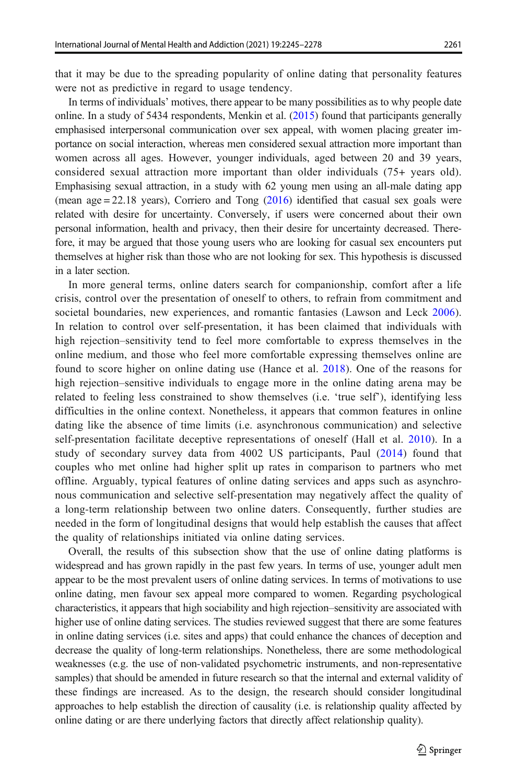that it may be due to the spreading popularity of online dating that personality features were not as predictive in regard to usage tendency.

In terms of individuals' motives, there appear to be many possibilities as to why people date online. In a study of 5434 respondents, Menkin et al.  $(2015)$  found that participants generally emphasised interpersonal communication over sex appeal, with women placing greater importance on social interaction, whereas men considered sexual attraction more important than women across all ages. However, younger individuals, aged between 20 and 39 years, considered sexual attraction more important than older individuals (75+ years old). Emphasising sexual attraction, in a study with 62 young men using an all-male dating app (mean  $age = 22.18$  years), Corriero and Tong  $(2016)$  $(2016)$  $(2016)$  identified that casual sex goals were related with desire for uncertainty. Conversely, if users were concerned about their own personal information, health and privacy, then their desire for uncertainty decreased. Therefore, it may be argued that those young users who are looking for casual sex encounters put themselves at higher risk than those who are not looking for sex. This hypothesis is discussed in a later section.

In more general terms, online daters search for companionship, comfort after a life crisis, control over the presentation of oneself to others, to refrain from commitment and societal boundaries, new experiences, and romantic fantasies (Lawson and Leck [2006](#page-31-0)). In relation to control over self-presentation, it has been claimed that individuals with high rejection–sensitivity tend to feel more comfortable to express themselves in the online medium, and those who feel more comfortable expressing themselves online are found to score higher on online dating use (Hance et al. [2018\)](#page-30-0). One of the reasons for high rejection–sensitive individuals to engage more in the online dating arena may be related to feeling less constrained to show themselves (i.e. 'true self'), identifying less difficulties in the online context. Nonetheless, it appears that common features in online dating like the absence of time limits (i.e. asynchronous communication) and selective self-presentation facilitate deceptive representations of oneself (Hall et al. [2010\)](#page-30-0). In a study of secondary survey data from 4002 US participants, Paul [\(2014\)](#page-32-0) found that couples who met online had higher split up rates in comparison to partners who met offline. Arguably, typical features of online dating services and apps such as asynchronous communication and selective self-presentation may negatively affect the quality of a long-term relationship between two online daters. Consequently, further studies are needed in the form of longitudinal designs that would help establish the causes that affect the quality of relationships initiated via online dating services.

Overall, the results of this subsection show that the use of online dating platforms is widespread and has grown rapidly in the past few years. In terms of use, younger adult men appear to be the most prevalent users of online dating services. In terms of motivations to use online dating, men favour sex appeal more compared to women. Regarding psychological characteristics, it appears that high sociability and high rejection–sensitivity are associated with higher use of online dating services. The studies reviewed suggest that there are some features in online dating services (i.e. sites and apps) that could enhance the chances of deception and decrease the quality of long-term relationships. Nonetheless, there are some methodological weaknesses (e.g. the use of non-validated psychometric instruments, and non-representative samples) that should be amended in future research so that the internal and external validity of these findings are increased. As to the design, the research should consider longitudinal approaches to help establish the direction of causality (i.e. is relationship quality affected by online dating or are there underlying factors that directly affect relationship quality).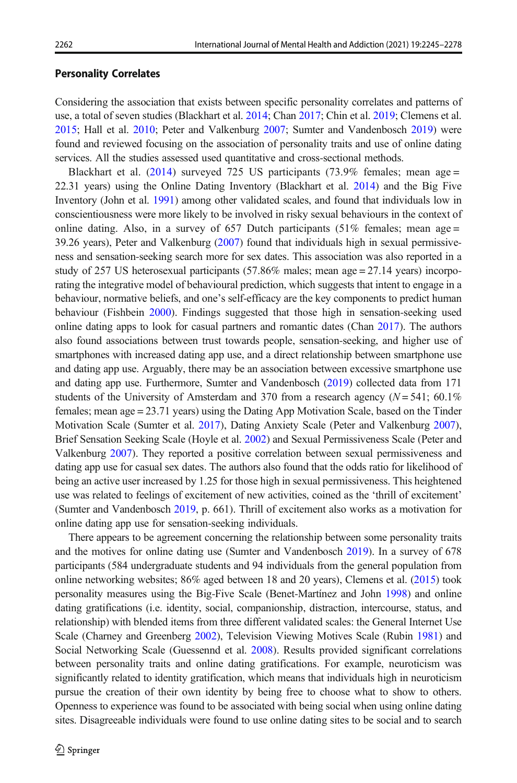#### Personality Correlates

Considering the association that exists between specific personality correlates and patterns of use, a total of seven studies (Blackhart et al. [2014;](#page-29-0) Chan [2017;](#page-29-0) Chin et al. [2019;](#page-29-0) Clemens et al. [2015](#page-29-0); Hall et al. [2010;](#page-30-0) Peter and Valkenburg [2007;](#page-32-0) Sumter and Vandenbosch [2019](#page-32-0)) were found and reviewed focusing on the association of personality traits and use of online dating services. All the studies assessed used quantitative and cross-sectional methods.

Blackhart et al. [\(2014\)](#page-29-0) surveyed 725 US participants (73.9% females; mean age = 22.31 years) using the Online Dating Inventory (Blackhart et al. [2014](#page-29-0)) and the Big Five Inventory (John et al. [1991\)](#page-30-0) among other validated scales, and found that individuals low in conscientiousness were more likely to be involved in risky sexual behaviours in the context of online dating. Also, in a survey of 657 Dutch participants (51% females; mean age = 39.26 years), Peter and Valkenburg [\(2007\)](#page-32-0) found that individuals high in sexual permissiveness and sensation-seeking search more for sex dates. This association was also reported in a study of 257 US heterosexual participants (57.86% males; mean age = 27.14 years) incorporating the integrative model of behavioural prediction, which suggests that intent to engage in a behaviour, normative beliefs, and one's self-efficacy are the key components to predict human behaviour (Fishbein [2000](#page-30-0)). Findings suggested that those high in sensation-seeking used online dating apps to look for casual partners and romantic dates (Chan [2017\)](#page-29-0). The authors also found associations between trust towards people, sensation-seeking, and higher use of smartphones with increased dating app use, and a direct relationship between smartphone use and dating app use. Arguably, there may be an association between excessive smartphone use and dating app use. Furthermore, Sumter and Vandenbosch [\(2019\)](#page-32-0) collected data from 171 students of the University of Amsterdam and 370 from a research agency  $(N = 541; 60.1\%)$ females; mean age = 23.71 years) using the Dating App Motivation Scale, based on the Tinder Motivation Scale (Sumter et al. [2017](#page-32-0)), Dating Anxiety Scale (Peter and Valkenburg [2007](#page-32-0)), Brief Sensation Seeking Scale (Hoyle et al. [2002](#page-30-0)) and Sexual Permissiveness Scale (Peter and Valkenburg [2007](#page-32-0)). They reported a positive correlation between sexual permissiveness and dating app use for casual sex dates. The authors also found that the odds ratio for likelihood of being an active user increased by 1.25 for those high in sexual permissiveness. This heightened use was related to feelings of excitement of new activities, coined as the 'thrill of excitement' (Sumter and Vandenbosch [2019](#page-32-0), p. 661). Thrill of excitement also works as a motivation for online dating app use for sensation-seeking individuals.

There appears to be agreement concerning the relationship between some personality traits and the motives for online dating use (Sumter and Vandenbosch [2019](#page-32-0)). In a survey of 678 participants (584 undergraduate students and 94 individuals from the general population from online networking websites; 86% aged between 18 and 20 years), Clemens et al. [\(2015](#page-29-0)) took personality measures using the Big-Five Scale (Benet-Martínez and John [1998](#page-28-0)) and online dating gratifications (i.e. identity, social, companionship, distraction, intercourse, status, and relationship) with blended items from three different validated scales: the General Internet Use Scale (Charney and Greenberg [2002](#page-29-0)), Television Viewing Motives Scale (Rubin [1981](#page-32-0)) and Social Networking Scale (Guessennd et al. [2008](#page-30-0)). Results provided significant correlations between personality traits and online dating gratifications. For example, neuroticism was significantly related to identity gratification, which means that individuals high in neuroticism pursue the creation of their own identity by being free to choose what to show to others. Openness to experience was found to be associated with being social when using online dating sites. Disagreeable individuals were found to use online dating sites to be social and to search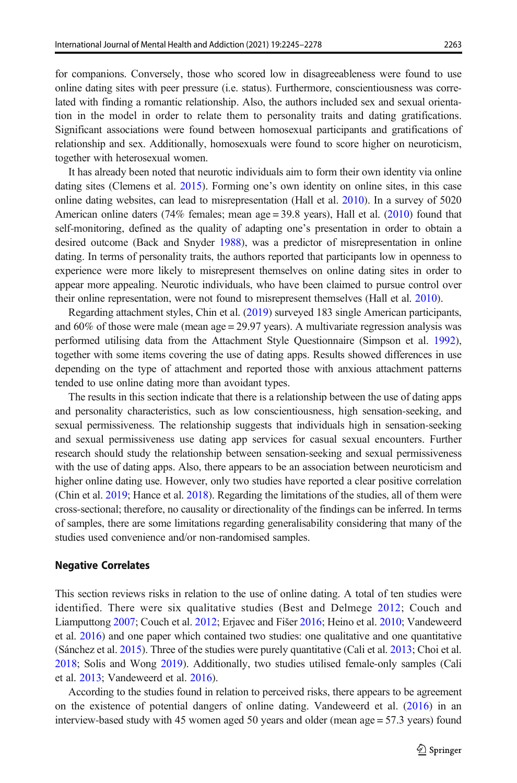for companions. Conversely, those who scored low in disagreeableness were found to use online dating sites with peer pressure (i.e. status). Furthermore, conscientiousness was correlated with finding a romantic relationship. Also, the authors included sex and sexual orientation in the model in order to relate them to personality traits and dating gratifications. Significant associations were found between homosexual participants and gratifications of relationship and sex. Additionally, homosexuals were found to score higher on neuroticism, together with heterosexual women.

It has already been noted that neurotic individuals aim to form their own identity via online dating sites (Clemens et al. [2015\)](#page-29-0). Forming one's own identity on online sites, in this case online dating websites, can lead to misrepresentation (Hall et al. [2010](#page-30-0)). In a survey of 5020 American online daters (74% females; mean  $age = 39.8$  years), Hall et al. [\(2010](#page-30-0)) found that self-monitoring, defined as the quality of adapting one's presentation in order to obtain a desired outcome (Back and Snyder [1988](#page-28-0)), was a predictor of misrepresentation in online dating. In terms of personality traits, the authors reported that participants low in openness to experience were more likely to misrepresent themselves on online dating sites in order to appear more appealing. Neurotic individuals, who have been claimed to pursue control over their online representation, were not found to misrepresent themselves (Hall et al. [2010\)](#page-30-0).

Regarding attachment styles, Chin et al. ([2019](#page-29-0)) surveyed 183 single American participants, and 60% of those were male (mean age = 29.97 years). A multivariate regression analysis was performed utilising data from the Attachment Style Questionnaire (Simpson et al. [1992](#page-32-0)), together with some items covering the use of dating apps. Results showed differences in use depending on the type of attachment and reported those with anxious attachment patterns tended to use online dating more than avoidant types.

The results in this section indicate that there is a relationship between the use of dating apps and personality characteristics, such as low conscientiousness, high sensation-seeking, and sexual permissiveness. The relationship suggests that individuals high in sensation-seeking and sexual permissiveness use dating app services for casual sexual encounters. Further research should study the relationship between sensation-seeking and sexual permissiveness with the use of dating apps. Also, there appears to be an association between neuroticism and higher online dating use. However, only two studies have reported a clear positive correlation (Chin et al. [2019](#page-29-0); Hance et al. [2018](#page-30-0)). Regarding the limitations of the studies, all of them were cross-sectional; therefore, no causality or directionality of the findings can be inferred. In terms of samples, there are some limitations regarding generalisability considering that many of the studies used convenience and/or non-randomised samples.

#### Negative Correlates

This section reviews risks in relation to the use of online dating. A total of ten studies were identified. There were six qualitative studies (Best and Delmege [2012;](#page-28-0) Couch and Liamputtong [2007;](#page-29-0) Couch et al. [2012](#page-29-0); Erjavec and Fišer [2016;](#page-30-0) Heino et al. [2010](#page-30-0); Vandeweerd et al. [2016](#page-32-0)) and one paper which contained two studies: one qualitative and one quantitative (Sánchez et al. [2015](#page-32-0)). Three of the studies were purely quantitative (Cali et al. [2013](#page-29-0); Choi et al. [2018](#page-29-0); Solis and Wong [2019](#page-32-0)). Additionally, two studies utilised female-only samples (Cali et al. [2013](#page-29-0); Vandeweerd et al. [2016](#page-32-0)).

According to the studies found in relation to perceived risks, there appears to be agreement on the existence of potential dangers of online dating. Vandeweerd et al. ([2016\)](#page-32-0) in an interview-based study with 45 women aged 50 years and older (mean age = 57.3 years) found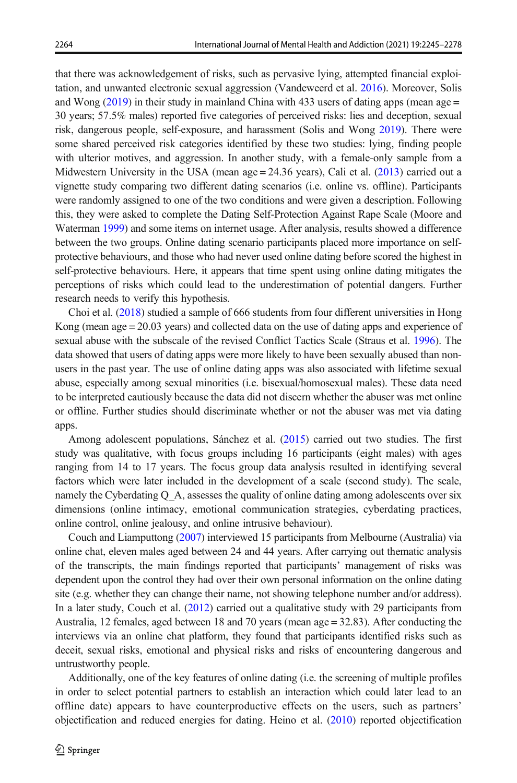that there was acknowledgement of risks, such as pervasive lying, attempted financial exploitation, and unwanted electronic sexual aggression (Vandeweerd et al. [2016](#page-32-0)). Moreover, Solis and Wong  $(2019)$  in their study in mainland China with 433 users of dating apps (mean age = 30 years; 57.5% males) reported five categories of perceived risks: lies and deception, sexual risk, dangerous people, self-exposure, and harassment (Solis and Wong [2019](#page-32-0)). There were some shared perceived risk categories identified by these two studies: lying, finding people with ulterior motives, and aggression. In another study, with a female-only sample from a Midwestern University in the USA (mean age = 24.36 years), Cali et al. [\(2013\)](#page-29-0) carried out a vignette study comparing two different dating scenarios (i.e. online vs. offline). Participants were randomly assigned to one of the two conditions and were given a description. Following this, they were asked to complete the Dating Self-Protection Against Rape Scale (Moore and Waterman [1999\)](#page-31-0) and some items on internet usage. After analysis, results showed a difference between the two groups. Online dating scenario participants placed more importance on selfprotective behaviours, and those who had never used online dating before scored the highest in self-protective behaviours. Here, it appears that time spent using online dating mitigates the perceptions of risks which could lead to the underestimation of potential dangers. Further research needs to verify this hypothesis.

Choi et al. [\(2018\)](#page-29-0) studied a sample of 666 students from four different universities in Hong Kong (mean age = 20.03 years) and collected data on the use of dating apps and experience of sexual abuse with the subscale of the revised Conflict Tactics Scale (Straus et al. [1996](#page-32-0)). The data showed that users of dating apps were more likely to have been sexually abused than nonusers in the past year. The use of online dating apps was also associated with lifetime sexual abuse, especially among sexual minorities (i.e. bisexual/homosexual males). These data need to be interpreted cautiously because the data did not discern whether the abuser was met online or offline. Further studies should discriminate whether or not the abuser was met via dating apps.

Among adolescent populations, Sánchez et al. [\(2015\)](#page-32-0) carried out two studies. The first study was qualitative, with focus groups including 16 participants (eight males) with ages ranging from 14 to 17 years. The focus group data analysis resulted in identifying several factors which were later included in the development of a scale (second study). The scale, namely the Cyberdating Q A, assesses the quality of online dating among adolescents over six dimensions (online intimacy, emotional communication strategies, cyberdating practices, online control, online jealousy, and online intrusive behaviour).

Couch and Liamputtong ([2007](#page-29-0)) interviewed 15 participants from Melbourne (Australia) via online chat, eleven males aged between 24 and 44 years. After carrying out thematic analysis of the transcripts, the main findings reported that participants' management of risks was dependent upon the control they had over their own personal information on the online dating site (e.g. whether they can change their name, not showing telephone number and/or address). In a later study, Couch et al. ([2012](#page-29-0)) carried out a qualitative study with 29 participants from Australia, 12 females, aged between 18 and 70 years (mean age = 32.83). After conducting the interviews via an online chat platform, they found that participants identified risks such as deceit, sexual risks, emotional and physical risks and risks of encountering dangerous and untrustworthy people.

Additionally, one of the key features of online dating (i.e. the screening of multiple profiles in order to select potential partners to establish an interaction which could later lead to an offline date) appears to have counterproductive effects on the users, such as partners' objectification and reduced energies for dating. Heino et al. [\(2010\)](#page-30-0) reported objectification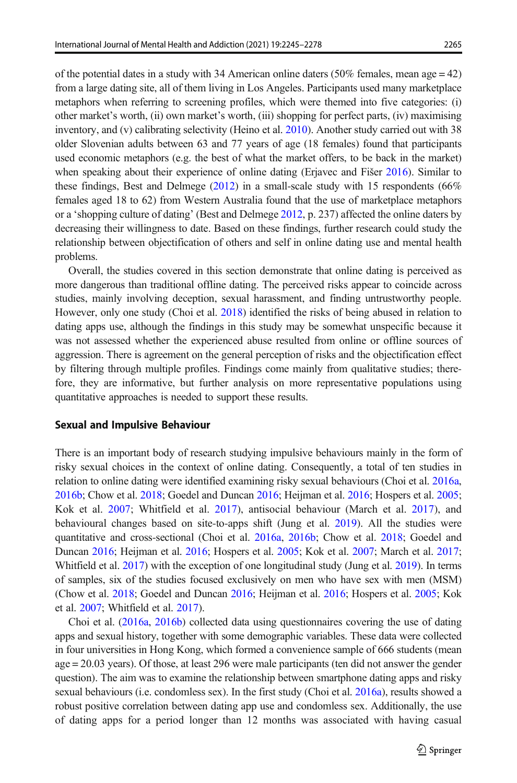of the potential dates in a study with 34 American online daters (50% females, mean age  $=$  42) from a large dating site, all of them living in Los Angeles. Participants used many marketplace metaphors when referring to screening profiles, which were themed into five categories: (i) other market's worth, (ii) own market's worth, (iii) shopping for perfect parts, (iv) maximising inventory, and (v) calibrating selectivity (Heino et al. [2010](#page-30-0)). Another study carried out with 38 older Slovenian adults between 63 and 77 years of age (18 females) found that participants used economic metaphors (e.g. the best of what the market offers, to be back in the market) when speaking about their experience of online dating (Erjavec and Fišer [2016\)](#page-30-0). Similar to these findings, Best and Delmege  $(2012)$  in a small-scale study with 15 respondents (66%) females aged 18 to 62) from Western Australia found that the use of marketplace metaphors

or a 'shopping culture of dating' (Best and Delmege [2012](#page-28-0), p. 237) affected the online daters by decreasing their willingness to date. Based on these findings, further research could study the relationship between objectification of others and self in online dating use and mental health problems.

Overall, the studies covered in this section demonstrate that online dating is perceived as more dangerous than traditional offline dating. The perceived risks appear to coincide across studies, mainly involving deception, sexual harassment, and finding untrustworthy people. However, only one study (Choi et al. [2018](#page-29-0)) identified the risks of being abused in relation to dating apps use, although the findings in this study may be somewhat unspecific because it was not assessed whether the experienced abuse resulted from online or offline sources of aggression. There is agreement on the general perception of risks and the objectification effect by filtering through multiple profiles. Findings come mainly from qualitative studies; therefore, they are informative, but further analysis on more representative populations using quantitative approaches is needed to support these results.

#### Sexual and Impulsive Behaviour

There is an important body of research studying impulsive behaviours mainly in the form of risky sexual choices in the context of online dating. Consequently, a total of ten studies in relation to online dating were identified examining risky sexual behaviours (Choi et al. [2016a](#page-29-0), [2016b;](#page-29-0) Chow et al. [2018;](#page-29-0) Goedel and Duncan [2016;](#page-30-0) Heijman et al. [2016](#page-30-0); Hospers et al. [2005](#page-30-0); Kok et al. [2007;](#page-31-0) Whitfield et al. [2017\)](#page-32-0), antisocial behaviour (March et al. [2017](#page-31-0)), and behavioural changes based on site-to-apps shift (Jung et al. [2019](#page-30-0)). All the studies were quantitative and cross-sectional (Choi et al. [2016a](#page-29-0), [2016b](#page-29-0); Chow et al. [2018](#page-29-0); Goedel and Duncan [2016;](#page-30-0) Heijman et al. [2016](#page-30-0); Hospers et al. [2005](#page-30-0); Kok et al. [2007](#page-31-0); March et al. [2017](#page-31-0); Whitfield et al. [2017\)](#page-32-0) with the exception of one longitudinal study (Jung et al. [2019\)](#page-30-0). In terms of samples, six of the studies focused exclusively on men who have sex with men (MSM) (Chow et al. [2018](#page-29-0); Goedel and Duncan [2016;](#page-30-0) Heijman et al. [2016;](#page-30-0) Hospers et al. [2005](#page-30-0); Kok et al. [2007](#page-31-0); Whitfield et al. [2017\)](#page-32-0).

Choi et al. ([2016a](#page-29-0), [2016b\)](#page-29-0) collected data using questionnaires covering the use of dating apps and sexual history, together with some demographic variables. These data were collected in four universities in Hong Kong, which formed a convenience sample of 666 students (mean age = 20.03 years). Of those, at least 296 were male participants (ten did not answer the gender question). The aim was to examine the relationship between smartphone dating apps and risky sexual behaviours (i.e. condomless sex). In the first study (Choi et al. [2016a\)](#page-29-0), results showed a robust positive correlation between dating app use and condomless sex. Additionally, the use of dating apps for a period longer than 12 months was associated with having casual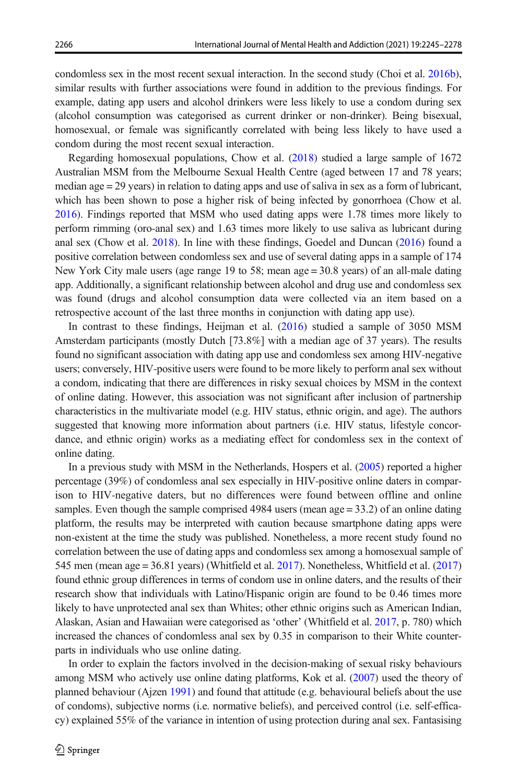condomless sex in the most recent sexual interaction. In the second study (Choi et al. [2016b](#page-29-0)), similar results with further associations were found in addition to the previous findings. For example, dating app users and alcohol drinkers were less likely to use a condom during sex (alcohol consumption was categorised as current drinker or non-drinker). Being bisexual, homosexual, or female was significantly correlated with being less likely to have used a condom during the most recent sexual interaction.

Regarding homosexual populations, Chow et al. [\(2018\)](#page-29-0) studied a large sample of 1672 Australian MSM from the Melbourne Sexual Health Centre (aged between 17 and 78 years; median age  $= 29$  years) in relation to dating apps and use of saliva in sex as a form of lubricant, which has been shown to pose a higher risk of being infected by gonorrhoea (Chow et al. [2016](#page-29-0)). Findings reported that MSM who used dating apps were 1.78 times more likely to perform rimming (oro-anal sex) and 1.63 times more likely to use saliva as lubricant during anal sex (Chow et al. [2018\)](#page-29-0). In line with these findings, Goedel and Duncan ([2016](#page-30-0)) found a positive correlation between condomless sex and use of several dating apps in a sample of 174 New York City male users (age range 19 to 58; mean age = 30.8 years) of an all-male dating app. Additionally, a significant relationship between alcohol and drug use and condomless sex was found (drugs and alcohol consumption data were collected via an item based on a retrospective account of the last three months in conjunction with dating app use).

In contrast to these findings, Heijman et al. [\(2016](#page-30-0)) studied a sample of 3050 MSM Amsterdam participants (mostly Dutch [73.8%] with a median age of 37 years). The results found no significant association with dating app use and condomless sex among HIV-negative users; conversely, HIV-positive users were found to be more likely to perform anal sex without a condom, indicating that there are differences in risky sexual choices by MSM in the context of online dating. However, this association was not significant after inclusion of partnership characteristics in the multivariate model (e.g. HIV status, ethnic origin, and age). The authors suggested that knowing more information about partners (i.e. HIV status, lifestyle concordance, and ethnic origin) works as a mediating effect for condomless sex in the context of online dating.

In a previous study with MSM in the Netherlands, Hospers et al. [\(2005\)](#page-30-0) reported a higher percentage (39%) of condomless anal sex especially in HIV-positive online daters in comparison to HIV-negative daters, but no differences were found between offline and online samples. Even though the sample comprised 4984 users (mean age = 33.2) of an online dating platform, the results may be interpreted with caution because smartphone dating apps were non-existent at the time the study was published. Nonetheless, a more recent study found no correlation between the use of dating apps and condomless sex among a homosexual sample of 545 men (mean age = 36.81 years) (Whitfield et al. [2017](#page-32-0)). Nonetheless, Whitfield et al. [\(2017\)](#page-32-0) found ethnic group differences in terms of condom use in online daters, and the results of their research show that individuals with Latino/Hispanic origin are found to be 0.46 times more likely to have unprotected anal sex than Whites; other ethnic origins such as American Indian, Alaskan, Asian and Hawaiian were categorised as 'other' (Whitfield et al. [2017](#page-32-0), p. 780) which increased the chances of condomless anal sex by 0.35 in comparison to their White counterparts in individuals who use online dating.

In order to explain the factors involved in the decision-making of sexual risky behaviours among MSM who actively use online dating platforms, Kok et al. [\(2007\)](#page-31-0) used the theory of planned behaviour (Ajzen [1991\)](#page-28-0) and found that attitude (e.g. behavioural beliefs about the use of condoms), subjective norms (i.e. normative beliefs), and perceived control (i.e. self-efficacy) explained 55% of the variance in intention of using protection during anal sex. Fantasising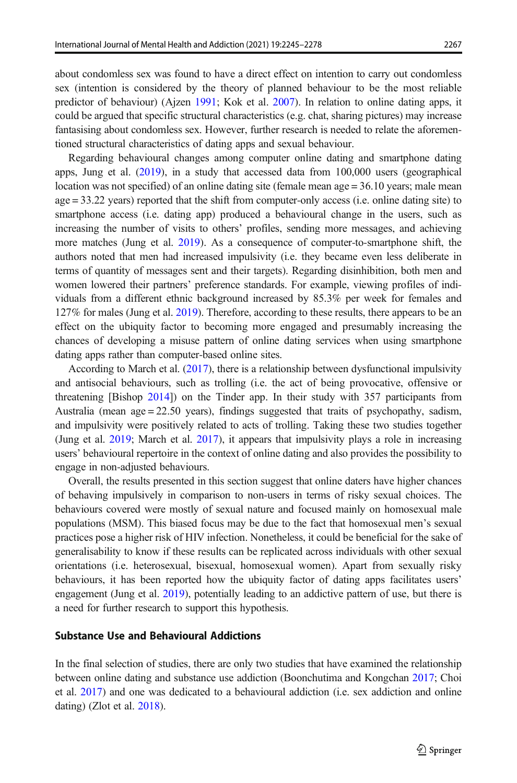about condomless sex was found to have a direct effect on intention to carry out condomless sex (intention is considered by the theory of planned behaviour to be the most reliable predictor of behaviour) (Ajzen [1991](#page-28-0); Kok et al. [2007\)](#page-31-0). In relation to online dating apps, it could be argued that specific structural characteristics (e.g. chat, sharing pictures) may increase fantasising about condomless sex. However, further research is needed to relate the aforementioned structural characteristics of dating apps and sexual behaviour.

Regarding behavioural changes among computer online dating and smartphone dating apps, Jung et al. [\(2019\)](#page-30-0), in a study that accessed data from 100,000 users (geographical location was not specified) of an online dating site (female mean age = 36.10 years; male mean age = 33.22 years) reported that the shift from computer-only access (i.e. online dating site) to smartphone access (i.e. dating app) produced a behavioural change in the users, such as increasing the number of visits to others' profiles, sending more messages, and achieving more matches (Jung et al. [2019](#page-30-0)). As a consequence of computer-to-smartphone shift, the authors noted that men had increased impulsivity (i.e. they became even less deliberate in terms of quantity of messages sent and their targets). Regarding disinhibition, both men and women lowered their partners' preference standards. For example, viewing profiles of individuals from a different ethnic background increased by 85.3% per week for females and 127% for males (Jung et al. [2019](#page-30-0)). Therefore, according to these results, there appears to be an effect on the ubiquity factor to becoming more engaged and presumably increasing the chances of developing a misuse pattern of online dating services when using smartphone dating apps rather than computer-based online sites.

According to March et al. [\(2017](#page-31-0)), there is a relationship between dysfunctional impulsivity and antisocial behaviours, such as trolling (i.e. the act of being provocative, offensive or threatening [Bishop [2014](#page-28-0)]) on the Tinder app. In their study with 357 participants from Australia (mean age = 22.50 years), findings suggested that traits of psychopathy, sadism, and impulsivity were positively related to acts of trolling. Taking these two studies together (Jung et al. [2019;](#page-30-0) March et al. [2017\)](#page-31-0), it appears that impulsivity plays a role in increasing users' behavioural repertoire in the context of online dating and also provides the possibility to engage in non-adjusted behaviours.

Overall, the results presented in this section suggest that online daters have higher chances of behaving impulsively in comparison to non-users in terms of risky sexual choices. The behaviours covered were mostly of sexual nature and focused mainly on homosexual male populations (MSM). This biased focus may be due to the fact that homosexual men's sexual practices pose a higher risk of HIV infection. Nonetheless, it could be beneficial for the sake of generalisability to know if these results can be replicated across individuals with other sexual orientations (i.e. heterosexual, bisexual, homosexual women). Apart from sexually risky behaviours, it has been reported how the ubiquity factor of dating apps facilitates users' engagement (Jung et al. [2019](#page-30-0)), potentially leading to an addictive pattern of use, but there is a need for further research to support this hypothesis.

#### Substance Use and Behavioural Addictions

In the final selection of studies, there are only two studies that have examined the relationship between online dating and substance use addiction (Boonchutima and Kongchan [2017](#page-29-0); Choi et al. [2017](#page-29-0)) and one was dedicated to a behavioural addiction (i.e. sex addiction and online dating) (Zlot et al. [2018\)](#page-32-0).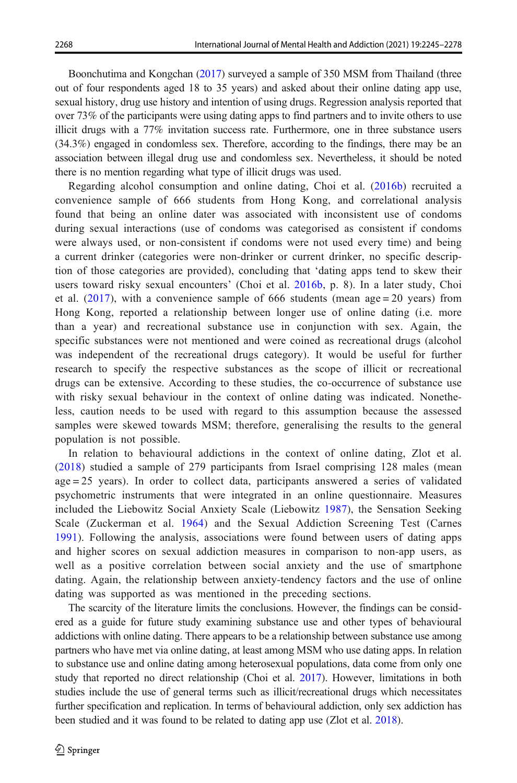Boonchutima and Kongchan ([2017](#page-29-0)) surveyed a sample of 350 MSM from Thailand (three out of four respondents aged 18 to 35 years) and asked about their online dating app use, sexual history, drug use history and intention of using drugs. Regression analysis reported that over 73% of the participants were using dating apps to find partners and to invite others to use illicit drugs with a 77% invitation success rate. Furthermore, one in three substance users (34.3%) engaged in condomless sex. Therefore, according to the findings, there may be an association between illegal drug use and condomless sex. Nevertheless, it should be noted there is no mention regarding what type of illicit drugs was used.

Regarding alcohol consumption and online dating, Choi et al. [\(2016b](#page-29-0)) recruited a convenience sample of 666 students from Hong Kong, and correlational analysis found that being an online dater was associated with inconsistent use of condoms during sexual interactions (use of condoms was categorised as consistent if condoms were always used, or non-consistent if condoms were not used every time) and being a current drinker (categories were non-drinker or current drinker, no specific description of those categories are provided), concluding that 'dating apps tend to skew their users toward risky sexual encounters' (Choi et al. [2016b](#page-29-0), p. 8). In a later study, Choi et al.  $(2017)$ , with a convenience sample of 666 students (mean age = 20 years) from Hong Kong, reported a relationship between longer use of online dating (i.e. more than a year) and recreational substance use in conjunction with sex. Again, the specific substances were not mentioned and were coined as recreational drugs (alcohol was independent of the recreational drugs category). It would be useful for further research to specify the respective substances as the scope of illicit or recreational drugs can be extensive. According to these studies, the co-occurrence of substance use with risky sexual behaviour in the context of online dating was indicated. Nonetheless, caution needs to be used with regard to this assumption because the assessed samples were skewed towards MSM; therefore, generalising the results to the general population is not possible.

In relation to behavioural addictions in the context of online dating, Zlot et al. ([2018](#page-32-0)) studied a sample of 279 participants from Israel comprising 128 males (mean age = 25 years). In order to collect data, participants answered a series of validated psychometric instruments that were integrated in an online questionnaire. Measures included the Liebowitz Social Anxiety Scale (Liebowitz [1987](#page-31-0)), the Sensation Seeking Scale (Zuckerman et al. [1964](#page-33-0)) and the Sexual Addiction Screening Test (Carnes [1991](#page-29-0)). Following the analysis, associations were found between users of dating apps and higher scores on sexual addiction measures in comparison to non-app users, as well as a positive correlation between social anxiety and the use of smartphone dating. Again, the relationship between anxiety-tendency factors and the use of online dating was supported as was mentioned in the preceding sections.

The scarcity of the literature limits the conclusions. However, the findings can be considered as a guide for future study examining substance use and other types of behavioural addictions with online dating. There appears to be a relationship between substance use among partners who have met via online dating, at least among MSM who use dating apps. In relation to substance use and online dating among heterosexual populations, data come from only one study that reported no direct relationship (Choi et al. [2017](#page-29-0)). However, limitations in both studies include the use of general terms such as illicit/recreational drugs which necessitates further specification and replication. In terms of behavioural addiction, only sex addiction has been studied and it was found to be related to dating app use (Zlot et al. [2018\)](#page-32-0).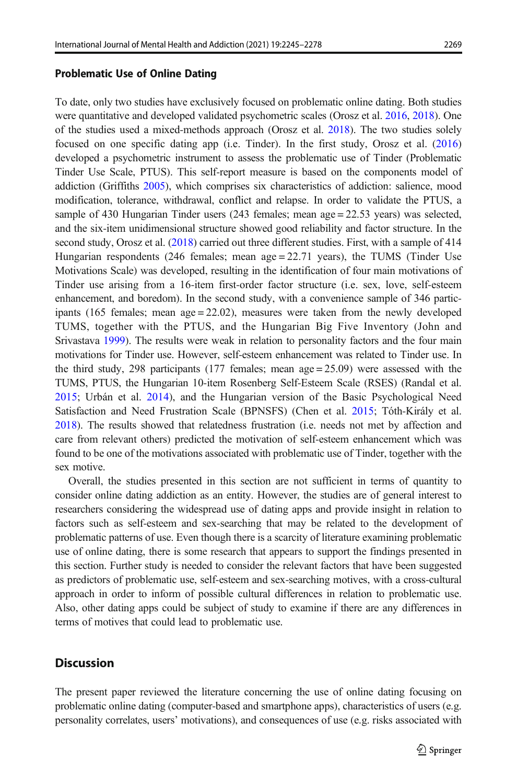#### Problematic Use of Online Dating

To date, only two studies have exclusively focused on problematic online dating. Both studies were quantitative and developed validated psychometric scales (Orosz et al. [2016](#page-31-0), [2018](#page-31-0)). One of the studies used a mixed-methods approach (Orosz et al. [2018](#page-31-0)). The two studies solely focused on one specific dating app (i.e. Tinder). In the first study, Orosz et al. ([2016\)](#page-31-0) developed a psychometric instrument to assess the problematic use of Tinder (Problematic Tinder Use Scale, PTUS). This self-report measure is based on the components model of addiction (Griffiths [2005](#page-30-0)), which comprises six characteristics of addiction: salience, mood modification, tolerance, withdrawal, conflict and relapse. In order to validate the PTUS, a sample of 430 Hungarian Tinder users (243 females; mean age = 22.53 years) was selected, and the six-item unidimensional structure showed good reliability and factor structure. In the second study, Orosz et al. ([2018](#page-31-0)) carried out three different studies. First, with a sample of 414 Hungarian respondents (246 females; mean age  $= 22.71$  years), the TUMS (Tinder Use Motivations Scale) was developed, resulting in the identification of four main motivations of Tinder use arising from a 16-item first-order factor structure (i.e. sex, love, self-esteem enhancement, and boredom). In the second study, with a convenience sample of 346 participants (165 females; mean  $age = 22.02$ ), measures were taken from the newly developed TUMS, together with the PTUS, and the Hungarian Big Five Inventory (John and Srivastava [1999](#page-30-0)). The results were weak in relation to personality factors and the four main motivations for Tinder use. However, self-esteem enhancement was related to Tinder use. In the third study, 298 participants (177 females; mean  $age = 25.09$ ) were assessed with the TUMS, PTUS, the Hungarian 10-item Rosenberg Self-Esteem Scale (RSES) (Randal et al. [2015;](#page-32-0) Urbán et al. [2014\)](#page-32-0), and the Hungarian version of the Basic Psychological Need Satisfaction and Need Frustration Scale (BPNSFS) (Chen et al. [2015;](#page-29-0) Tóth-Király et al. [2018](#page-32-0)). The results showed that relatedness frustration (i.e. needs not met by affection and care from relevant others) predicted the motivation of self-esteem enhancement which was found to be one of the motivations associated with problematic use of Tinder, together with the sex motive.

Overall, the studies presented in this section are not sufficient in terms of quantity to consider online dating addiction as an entity. However, the studies are of general interest to researchers considering the widespread use of dating apps and provide insight in relation to factors such as self-esteem and sex-searching that may be related to the development of problematic patterns of use. Even though there is a scarcity of literature examining problematic use of online dating, there is some research that appears to support the findings presented in this section. Further study is needed to consider the relevant factors that have been suggested as predictors of problematic use, self-esteem and sex-searching motives, with a cross-cultural approach in order to inform of possible cultural differences in relation to problematic use. Also, other dating apps could be subject of study to examine if there are any differences in terms of motives that could lead to problematic use.

#### **Discussion**

The present paper reviewed the literature concerning the use of online dating focusing on problematic online dating (computer-based and smartphone apps), characteristics of users (e.g. personality correlates, users' motivations), and consequences of use (e.g. risks associated with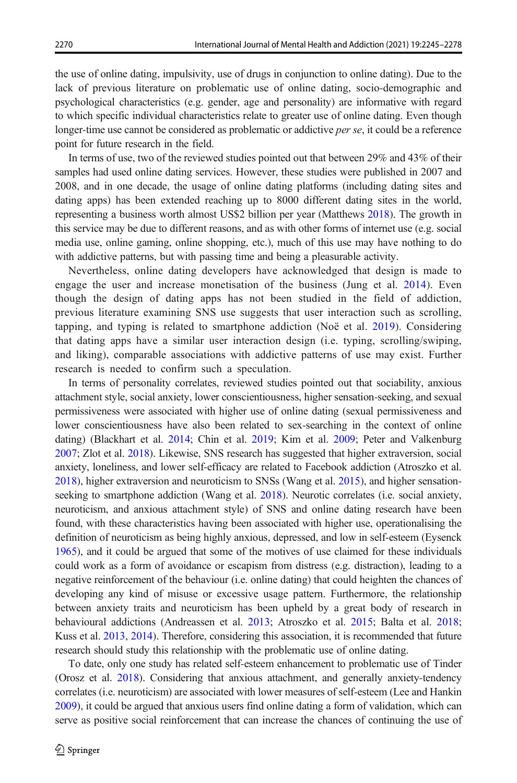the use of online dating, impulsivity, use of drugs in conjunction to online dating). Due to the lack of previous literature on problematic use of online dating, socio-demographic and psychological characteristics (e.g. gender, age and personality) are informative with regard to which specific individual characteristics relate to greater use of online dating. Even though longer-time use cannot be considered as problematic or addictive *per se*, it could be a reference point for future research in the field.

In terms of use, two of the reviewed studies pointed out that between 29% and 43% of their samples had used online dating services. However, these studies were published in 2007 and 2008, and in one decade, the usage of online dating platforms (including dating sites and dating apps) has been extended reaching up to 8000 different dating sites in the world, representing a business worth almost US\$2 billion per year (Matthews [2018](#page-31-0)). The growth in this service may be due to different reasons, and as with other forms of internet use (e.g. social media use, online gaming, online shopping, etc.), much of this use may have nothing to do with addictive patterns, but with passing time and being a pleasurable activity.

Nevertheless, online dating developers have acknowledged that design is made to engage the user and increase monetisation of the business (Jung et al. [2014\)](#page-30-0). Even though the design of dating apps has not been studied in the field of addiction, previous literature examining SNS use suggests that user interaction such as scrolling, tapping, and typing is related to smartphone addiction (Noë et al. [2019](#page-31-0)). Considering that dating apps have a similar user interaction design (i.e. typing, scrolling/swiping, and liking), comparable associations with addictive patterns of use may exist. Further research is needed to confirm such a speculation.

In terms of personality correlates, reviewed studies pointed out that sociability, anxious attachment style, social anxiety, lower conscientiousness, higher sensation-seeking, and sexual permissiveness were associated with higher use of online dating (sexual permissiveness and lower conscientiousness have also been related to sex-searching in the context of online dating) (Blackhart et al. [2014;](#page-29-0) Chin et al. [2019;](#page-29-0) Kim et al. [2009](#page-31-0); Peter and Valkenburg [2007](#page-32-0); Zlot et al. [2018](#page-32-0)). Likewise, SNS research has suggested that higher extraversion, social anxiety, loneliness, and lower self-efficacy are related to Facebook addiction (Atroszko et al. [2018](#page-28-0)), higher extraversion and neuroticism to SNSs (Wang et al. [2015](#page-32-0)), and higher sensation-seeking to smartphone addiction (Wang et al. [2018\)](#page-32-0). Neurotic correlates (i.e. social anxiety, neuroticism, and anxious attachment style) of SNS and online dating research have been found, with these characteristics having been associated with higher use, operationalising the definition of neuroticism as being highly anxious, depressed, and low in self-esteem (Eysenck [1965](#page-30-0)), and it could be argued that some of the motives of use claimed for these individuals could work as a form of avoidance or escapism from distress (e.g. distraction), leading to a negative reinforcement of the behaviour (i.e. online dating) that could heighten the chances of developing any kind of misuse or excessive usage pattern. Furthermore, the relationship between anxiety traits and neuroticism has been upheld by a great body of research in behavioural addictions (Andreassen et al. [2013](#page-28-0); Atroszko et al. [2015](#page-28-0); Balta et al. [2018](#page-28-0); Kuss et al. [2013,](#page-31-0) [2014\)](#page-31-0). Therefore, considering this association, it is recommended that future research should study this relationship with the problematic use of online dating.

To date, only one study has related self-esteem enhancement to problematic use of Tinder (Orosz et al. [2018](#page-31-0)). Considering that anxious attachment, and generally anxiety-tendency correlates (i.e. neuroticism) are associated with lower measures of self-esteem (Lee and Hankin [2009](#page-31-0)), it could be argued that anxious users find online dating a form of validation, which can serve as positive social reinforcement that can increase the chances of continuing the use of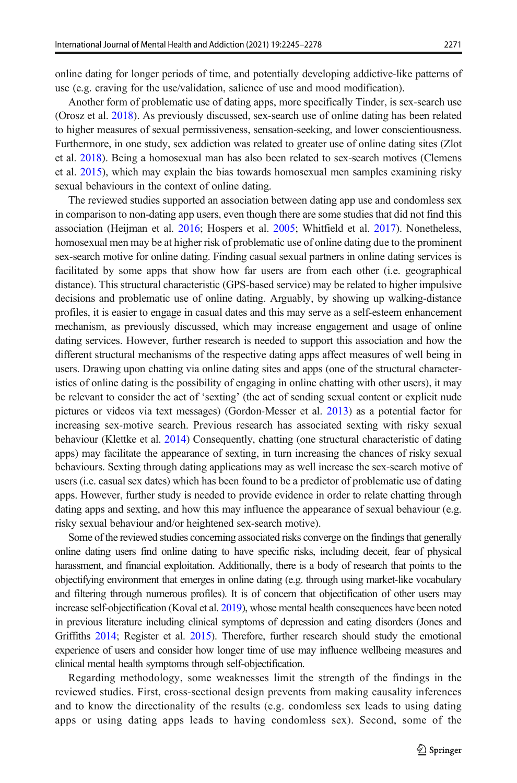online dating for longer periods of time, and potentially developing addictive-like patterns of use (e.g. craving for the use/validation, salience of use and mood modification).

Another form of problematic use of dating apps, more specifically Tinder, is sex-search use (Orosz et al. [2018](#page-31-0)). As previously discussed, sex-search use of online dating has been related to higher measures of sexual permissiveness, sensation-seeking, and lower conscientiousness. Furthermore, in one study, sex addiction was related to greater use of online dating sites (Zlot et al. [2018\)](#page-32-0). Being a homosexual man has also been related to sex-search motives (Clemens et al. [2015\)](#page-29-0), which may explain the bias towards homosexual men samples examining risky sexual behaviours in the context of online dating.

The reviewed studies supported an association between dating app use and condomless sex in comparison to non-dating app users, even though there are some studies that did not find this association (Heijman et al. [2016](#page-30-0); Hospers et al. [2005;](#page-30-0) Whitfield et al. [2017\)](#page-32-0). Nonetheless, homosexual men may be at higher risk of problematic use of online dating due to the prominent sex-search motive for online dating. Finding casual sexual partners in online dating services is facilitated by some apps that show how far users are from each other (i.e. geographical distance). This structural characteristic (GPS-based service) may be related to higher impulsive decisions and problematic use of online dating. Arguably, by showing up walking-distance profiles, it is easier to engage in casual dates and this may serve as a self-esteem enhancement mechanism, as previously discussed, which may increase engagement and usage of online dating services. However, further research is needed to support this association and how the different structural mechanisms of the respective dating apps affect measures of well being in users. Drawing upon chatting via online dating sites and apps (one of the structural characteristics of online dating is the possibility of engaging in online chatting with other users), it may be relevant to consider the act of 'sexting' (the act of sending sexual content or explicit nude pictures or videos via text messages) (Gordon-Messer et al. [2013](#page-30-0)) as a potential factor for increasing sex-motive search. Previous research has associated sexting with risky sexual behaviour (Klettke et al. [2014](#page-31-0)) Consequently, chatting (one structural characteristic of dating apps) may facilitate the appearance of sexting, in turn increasing the chances of risky sexual behaviours. Sexting through dating applications may as well increase the sex-search motive of users (i.e. casual sex dates) which has been found to be a predictor of problematic use of dating apps. However, further study is needed to provide evidence in order to relate chatting through dating apps and sexting, and how this may influence the appearance of sexual behaviour (e.g. risky sexual behaviour and/or heightened sex-search motive).

Some of the reviewed studies concerning associated risks converge on the findings that generally online dating users find online dating to have specific risks, including deceit, fear of physical harassment, and financial exploitation. Additionally, there is a body of research that points to the objectifying environment that emerges in online dating (e.g. through using market-like vocabulary and filtering through numerous profiles). It is of concern that objectification of other users may increase self-objectification (Koval et al. [2019\)](#page-31-0), whose mental health consequences have been noted in previous literature including clinical symptoms of depression and eating disorders (Jones and Griffiths [2014;](#page-30-0) Register et al. [2015\)](#page-32-0). Therefore, further research should study the emotional experience of users and consider how longer time of use may influence wellbeing measures and clinical mental health symptoms through self-objectification.

Regarding methodology, some weaknesses limit the strength of the findings in the reviewed studies. First, cross-sectional design prevents from making causality inferences and to know the directionality of the results (e.g. condomless sex leads to using dating apps or using dating apps leads to having condomless sex). Second, some of the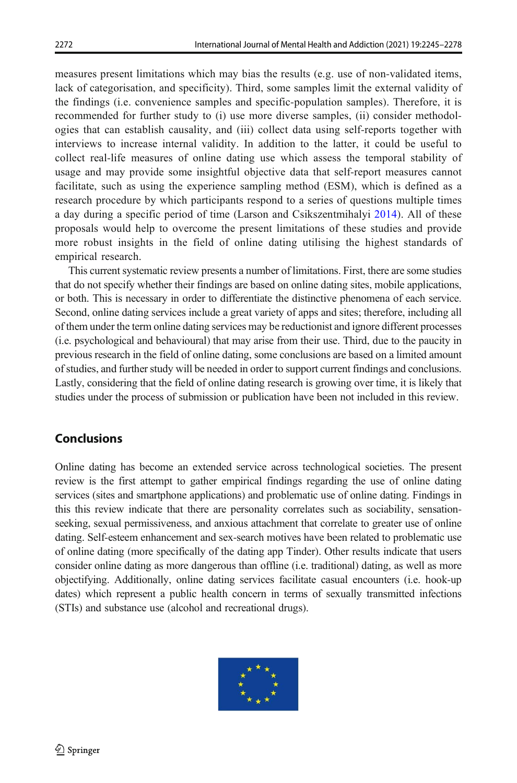measures present limitations which may bias the results (e.g. use of non-validated items, lack of categorisation, and specificity). Third, some samples limit the external validity of the findings (i.e. convenience samples and specific-population samples). Therefore, it is recommended for further study to (i) use more diverse samples, (ii) consider methodologies that can establish causality, and (iii) collect data using self-reports together with interviews to increase internal validity. In addition to the latter, it could be useful to collect real-life measures of online dating use which assess the temporal stability of usage and may provide some insightful objective data that self-report measures cannot facilitate, such as using the experience sampling method (ESM), which is defined as a research procedure by which participants respond to a series of questions multiple times a day during a specific period of time (Larson and Csikszentmihalyi [2014\)](#page-31-0). All of these proposals would help to overcome the present limitations of these studies and provide more robust insights in the field of online dating utilising the highest standards of empirical research.

This current systematic review presents a number of limitations. First, there are some studies that do not specify whether their findings are based on online dating sites, mobile applications, or both. This is necessary in order to differentiate the distinctive phenomena of each service. Second, online dating services include a great variety of apps and sites; therefore, including all of them under the term online dating services may be reductionist and ignore different processes (i.e. psychological and behavioural) that may arise from their use. Third, due to the paucity in previous research in the field of online dating, some conclusions are based on a limited amount of studies, and further study will be needed in order to support current findings and conclusions. Lastly, considering that the field of online dating research is growing over time, it is likely that studies under the process of submission or publication have been not included in this review.

## Conclusions

Online dating has become an extended service across technological societies. The present review is the first attempt to gather empirical findings regarding the use of online dating services (sites and smartphone applications) and problematic use of online dating. Findings in this this review indicate that there are personality correlates such as sociability, sensationseeking, sexual permissiveness, and anxious attachment that correlate to greater use of online dating. Self-esteem enhancement and sex-search motives have been related to problematic use of online dating (more specifically of the dating app Tinder). Other results indicate that users consider online dating as more dangerous than offline (i.e. traditional) dating, as well as more objectifying. Additionally, online dating services facilitate casual encounters (i.e. hook-up dates) which represent a public health concern in terms of sexually transmitted infections (STIs) and substance use (alcohol and recreational drugs).

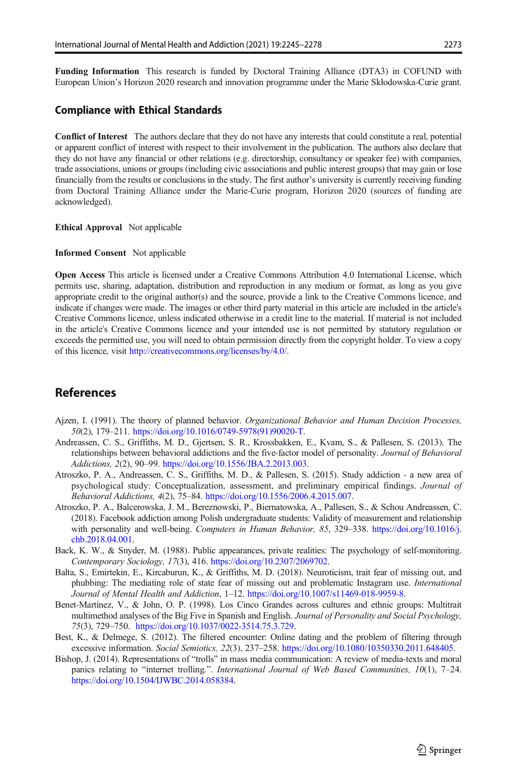<span id="page-28-0"></span>Funding Information This research is funded by Doctoral Training Alliance (DTA3) in COFUND with European Union's Horizon 2020 research and innovation programme under the Marie Skłodowska-Curie grant.

#### Compliance with Ethical Standards

Conflict of Interest The authors declare that they do not have any interests that could constitute a real, potential or apparent conflict of interest with respect to their involvement in the publication. The authors also declare that they do not have any financial or other relations (e.g. directorship, consultancy or speaker fee) with companies, trade associations, unions or groups (including civic associations and public interest groups) that may gain or lose financially from the results or conclusions in the study. The first author's university is currently receiving funding from Doctoral Training Alliance under the Marie-Curie program, Horizon 2020 (sources of funding are acknowledged).

Ethical Approval Not applicable

Informed Consent Not applicable

Open Access This article is licensed under a Creative Commons Attribution 4.0 International License, which permits use, sharing, adaptation, distribution and reproduction in any medium or format, as long as you give appropriate credit to the original author(s) and the source, provide a link to the Creative Commons licence, and indicate if changes were made. The images or other third party material in this article are included in the article's Creative Commons licence, unless indicated otherwise in a credit line to the material. If material is not included in the article's Creative Commons licence and your intended use is not permitted by statutory regulation or exceeds the permitted use, you will need to obtain permission directly from the copyright holder. To view a copy of this licence, visit [http://creativecommons.org/licenses/by/4.0/.](https://doi.org/http://creativecommons.org/licenses/by/4.0/)

### References

- Ajzen, I. (1991). The theory of planned behavior. Organizational Behavior and Human Decision Processes, 50(2), 179–211. [https://doi.org/10.1016/0749-5978\(91\)90020-T.](https://doi.org/10.1016/0749-5978(91)90020-T)
- Andreassen, C. S., Griffiths, M. D., Gjertsen, S. R., Krossbakken, E., Kvam, S., & Pallesen, S. (2013). The relationships between behavioral addictions and the five-factor model of personality. Journal of Behavioral Addictions, 2(2), 90–99. [https://doi.org/10.1556/JBA.2.2013.003.](https://doi.org/10.1556/JBA.2.2013.003)
- Atroszko, P. A., Andreassen, C. S., Griffiths, M. D., & Pallesen, S. (2015). Study addiction a new area of psychological study: Conceptualization, assessment, and preliminary empirical findings. Journal of Behavioral Addictions, 4(2), 75–84. <https://doi.org/10.1556/2006.4.2015.007>.
- Atroszko, P. A., Balcerowska, J. M., Bereznowski, P., Biernatowska, A., Pallesen, S., & Schou Andreassen, C. (2018). Facebook addiction among Polish undergraduate students: Validity of measurement and relationship with personality and well-being. Computers in Human Behavior, 85, 329–338. [https://doi.org/10.1016/j.](https://doi.org/10.1016/j.chb.2018.04.001) [chb.2018.04.001](https://doi.org/10.1016/j.chb.2018.04.001).
- Back, K. W., & Snyder, M. (1988). Public appearances, private realities: The psychology of self-monitoring. Contemporary Sociology, 17(3), 416. [https://doi.org/10.2307/2069702.](https://doi.org/10.2307/2069702)
- Balta, S., Emirtekin, E., Kircaburun, K., & Griffiths, M. D. (2018). Neuroticism, trait fear of missing out, and phubbing: The mediating role of state fear of missing out and problematic Instagram use. International Journal of Mental Health and Addiction, 1–12. <https://doi.org/10.1007/s11469-018-9959-8>.
- Benet-Martínez, V., & John, O. P. (1998). Los Cinco Grandes across cultures and ethnic groups: Multitrait multimethod analyses of the Big Five in Spanish and English. Journal of Personality and Social Psychology, 75(3), 729–750. [https://doi.org/10.1037/0022-3514.75.3.729.](https://doi.org/http://creativecommons.org/licenses/by/4.0/)
- Best, K., & Delmege, S. (2012). The filtered encounter: Online dating and the problem of filtering through excessive information. Social Semiotics, 22(3), 237–258. [https://doi.org/10.1080/10350330.2011.648405.](https://doi.org/10.1080/10350330.2011.648405)
- Bishop, J. (2014). Representations of "trolls" in mass media communication: A review of media-texts and moral panics relating to "internet trolling.". International Journal of Web Based Communities, 10(1), 7-24. [https://doi.org/10.1504/IJWBC.2014.058384.](https://doi.org/10.1504/IJWBC.2014.058384)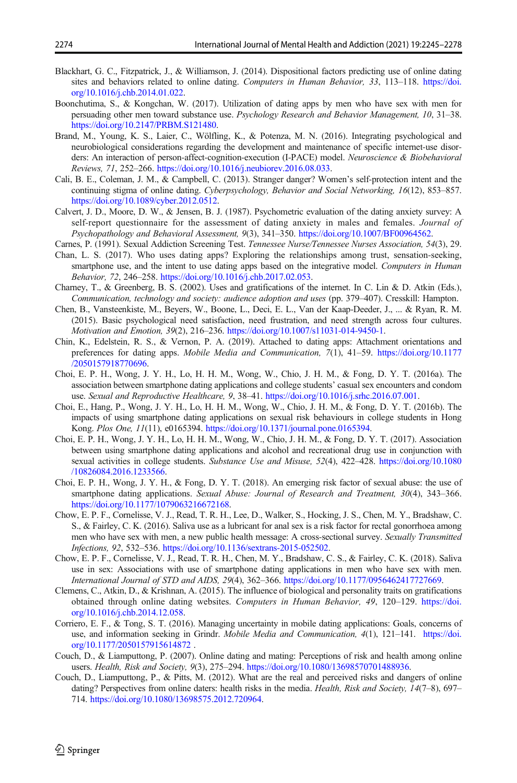- <span id="page-29-0"></span>Blackhart, G. C., Fitzpatrick, J., & Williamson, J. (2014). Dispositional factors predicting use of online dating sites and behaviors related to online dating. Computers in Human Behavior, 33, 113–118. [https://doi.](https://doi.org/10.1016/j.chb.2014.01.022) [org/10.1016/j.chb.2014.01.022.](https://doi.org/10.1016/j.chb.2014.01.022)
- Boonchutima, S., & Kongchan, W. (2017). Utilization of dating apps by men who have sex with men for persuading other men toward substance use. Psychology Research and Behavior Management, 10, 31–38. [https://doi.org/10.2147/PRBM.S121480.](https://doi.org/10.2147/PRBM.S121480)
- Brand, M., Young, K. S., Laier, C., Wölfling, K., & Potenza, M. N. (2016). Integrating psychological and neurobiological considerations regarding the development and maintenance of specific internet-use disorders: An interaction of person-affect-cognition-execution (I-PACE) model. Neuroscience & Biobehavioral Reviews, 71, 252–266. [https://doi.org/10.1016/j.neubiorev.2016.08.033.](https://doi.org/10.1016/j.neubiorev.2016.08.033)
- Cali, B. E., Coleman, J. M., & Campbell, C. (2013). Stranger danger? Women's self-protection intent and the continuing stigma of online dating. Cyberpsychology, Behavior and Social Networking, 16(12), 853–857. [https://doi.org/10.1089/cyber.2012.0512.](https://doi.org/10.1089/cyber.2012.0512)
- Calvert, J. D., Moore, D. W., & Jensen, B. J. (1987). Psychometric evaluation of the dating anxiety survey: A self-report questionnaire for the assessment of dating anxiety in males and females. Journal of Psychopathology and Behavioral Assessment, 9(3), 341–350. [https://doi.org/10.1007/BF00964562.](https://doi.org/10.1007/BF00964562)
- Carnes, P. (1991). Sexual Addiction Screening Test. Tennessee Nurse/Tennessee Nurses Association, 54(3), 29.
- Chan, L. S. (2017). Who uses dating apps? Exploring the relationships among trust, sensation-seeking, smartphone use, and the intent to use dating apps based on the integrative model. Computers in Human Behavior, 72, 246–258. <https://doi.org/10.1016/j.chb.2017.02.053>.
- Charney, T., & Greenberg, B. S. (2002). Uses and gratifications of the internet. In C. Lin & D. Atkin (Eds.), Communication, technology and society: audience adoption and uses (pp. 379–407). Cresskill: Hampton.
- Chen, B., Vansteenkiste, M., Beyers, W., Boone, L., Deci, E. L., Van der Kaap-Deeder, J., ... & Ryan, R. M. (2015). Basic psychological need satisfaction, need frustration, and need strength across four cultures. Motivation and Emotion, 39(2), 216–236. <https://doi.org/10.1007/s11031-014-9450-1>.
- Chin, K., Edelstein, R. S., & Vernon, P. A. (2019). Attached to dating apps: Attachment orientations and preferences for dating apps. Mobile Media and Communication, 7(1), 41–59. [https://doi.org/10.1177](https://doi.org/10.1177/2050157918770696) [/2050157918770696.](https://doi.org/10.1177/2050157918770696)
- Choi, E. P. H., Wong, J. Y. H., Lo, H. H. M., Wong, W., Chio, J. H. M., & Fong, D. Y. T. (2016a). The association between smartphone dating applications and college students' casual sex encounters and condom use. Sexual and Reproductive Healthcare, 9, 38–41. <https://doi.org/10.1016/j.srhc.2016.07.001>.
- Choi, E., Hang, P., Wong, J. Y. H., Lo, H. H. M., Wong, W., Chio, J. H. M., & Fong, D. Y. T. (2016b). The impacts of using smartphone dating applications on sexual risk behaviours in college students in Hong Kong. Plos One, 11(11), e0165394. <https://doi.org/10.1371/journal.pone.0165394>.
- Choi, E. P. H., Wong, J. Y. H., Lo, H. H. M., Wong, W., Chio, J. H. M., & Fong, D. Y. T. (2017). Association between using smartphone dating applications and alcohol and recreational drug use in conjunction with sexual activities in college students. Substance Use and Misuse, 52(4), 422–428. [https://doi.org/10.1080](https://doi.org/10.1080/10826084.2016.1233566) [/10826084.2016.1233566](https://doi.org/10.1080/10826084.2016.1233566).
- Choi, E. P. H., Wong, J. Y. H., & Fong, D. Y. T. (2018). An emerging risk factor of sexual abuse: the use of smartphone dating applications. Sexual Abuse: Journal of Research and Treatment, 30(4), 343–366. [https://doi.org/10.1177/1079063216672168.](https://doi.org/10.1177/1079063216672168)
- Chow, E. P. F., Cornelisse, V. J., Read, T. R. H., Lee, D., Walker, S., Hocking, J. S., Chen, M. Y., Bradshaw, C. S., & Fairley, C. K. (2016). Saliva use as a lubricant for anal sex is a risk factor for rectal gonorrhoea among men who have sex with men, a new public health message: A cross-sectional survey. Sexually Transmitted Infections, 92, 532–536. <https://doi.org/10.1136/sextrans-2015-052502>.
- Chow, E. P. F., Cornelisse, V. J., Read, T. R. H., Chen, M. Y., Bradshaw, C. S., & Fairley, C. K. (2018). Saliva use in sex: Associations with use of smartphone dating applications in men who have sex with men. International Journal of STD and AIDS, 29(4), 362–366. <https://doi.org/10.1177/0956462417727669>.
- Clemens, C., Atkin, D., & Krishnan, A. (2015). The influence of biological and personality traits on gratifications obtained through online dating websites. Computers in Human Behavior, 49, 120–129. [https://doi.](https://doi.org/10.1016/j.chb.2014.12.058) [org/10.1016/j.chb.2014.12.058.](https://doi.org/10.1016/j.chb.2014.12.058)
- Corriero, E. F., & Tong, S. T. (2016). Managing uncertainty in mobile dating applications: Goals, concerns of use, and information seeking in Grindr. Mobile Media and Communication, 4(1), 121-141. [https://doi.](https://doi.org/10.1177/2050157915614872) [org/10.1177/2050157915614872](https://doi.org/10.1177/2050157915614872) .
- Couch, D., & Liamputtong, P. (2007). Online dating and mating: Perceptions of risk and health among online users. Health, Risk and Society, 9(3), 275-294. [https://doi.org/10.1080/13698570701488936.](https://doi.org/10.1080/13698570701488936)
- Couch, D., Liamputtong, P., & Pitts, M. (2012). What are the real and perceived risks and dangers of online dating? Perspectives from online daters: health risks in the media. *Health, Risk and Society, 14*(7–8), 697– 714. <https://doi.org/10.1080/13698575.2012.720964>.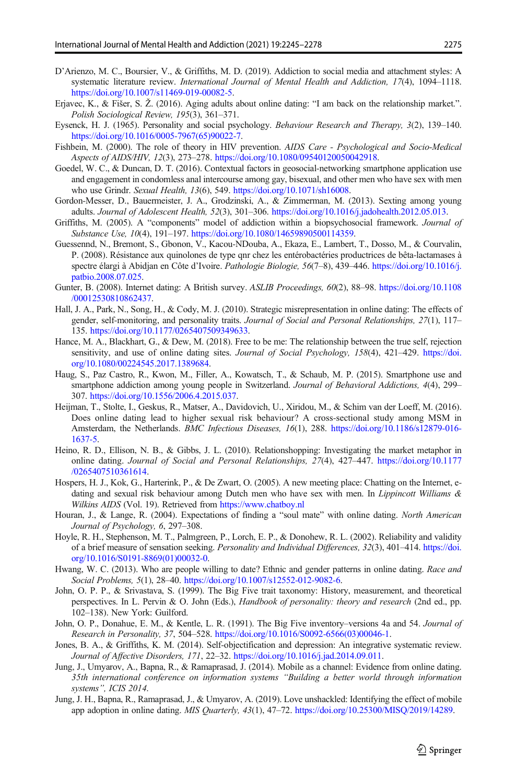- <span id="page-30-0"></span>D'Arienzo, M. C., Boursier, V., & Griffiths, M. D. (2019). Addiction to social media and attachment styles: A systematic literature review. International Journal of Mental Health and Addiction, 17(4), 1094-1118. <https://doi.org/10.1007/s11469-019-00082-5>.
- Erjavec, K., & Fišer, S. Ž. (2016). Aging adults about online dating: "I am back on the relationship market.". Polish Sociological Review, 195(3), 361–371.
- Eysenck, H. J. (1965). Personality and social psychology. Behaviour Research and Therapy, 3(2), 139–140. [https://doi.org/10.1016/0005-7967\(65\)90022-7.](https://doi.org/10.1016/0005-7967(65)90022-7)
- Fishbein, M. (2000). The role of theory in HIV prevention. AIDS Care Psychological and Socio-Medical Aspects of AIDS/HIV, 12(3), 273–278. [https://doi.org/10.1080/09540120050042918.](https://doi.org/10.1080/09540120050042918)
- Goedel, W. C., & Duncan, D. T. (2016). Contextual factors in geosocial-networking smartphone application use and engagement in condomless anal intercourse among gay, bisexual, and other men who have sex with men who use Grindr. Sexual Health, 13(6), 549. [https://doi.org/10.1071/sh16008.](https://doi.org/10.1071/sh16008)
- Gordon-Messer, D., Bauermeister, J. A., Grodzinski, A., & Zimmerman, M. (2013). Sexting among young adults. Journal of Adolescent Health, 52(3), 301–306. <https://doi.org/10.1016/j.jadohealth.2012.05.013>.
- Griffiths, M. (2005). A "components" model of addiction within a biopsychosocial framework. Journal of Substance Use, 10(4), 191-197. [https://doi.org/10.1080/14659890500114359.](https://doi.org/10.1080/14659890500114359)
- Guessennd, N., Bremont, S., Gbonon, V., Kacou-NDouba, A., Ekaza, E., Lambert, T., Dosso, M., & Courvalin, P. (2008). Résistance aux quinolones de type qnr chez les entérobactéries productrices de bêta-lactamases à spectre élargi à Abidian en Côte d'Ivoire. Pathologie Biologie, 56(7–8), 439–446. [https://doi.org/10.1016/j.](https://doi.org/10.1016/j.patbio.2008.07.025) [patbio.2008.07.025](https://doi.org/10.1016/j.patbio.2008.07.025).
- Gunter, B. (2008). Internet dating: A British survey. ASLIB Proceedings, 60(2), 88–98. [https://doi.org/10.1108](https://doi.org/10.1108/00012530810862437) [/00012530810862437.](https://doi.org/10.1108/00012530810862437)
- Hall, J. A., Park, N., Song, H., & Cody, M. J. (2010). Strategic misrepresentation in online dating: The effects of gender, self-monitoring, and personality traits. Journal of Social and Personal Relationships, 27(1), 117– 135. [https://doi.org/10.1177/0265407509349633.](https://doi.org/10.1177/0265407509349633)
- Hance, M. A., Blackhart, G., & Dew, M. (2018). Free to be me: The relationship between the true self, rejection sensitivity, and use of online dating sites. Journal of Social Psychology, 158(4), 421-429. [https://doi.](https://doi.org/10.1080/00224545.2017.1389684) [org/10.1080/00224545.2017.1389684.](https://doi.org/10.1080/00224545.2017.1389684)
- Haug, S., Paz Castro, R., Kwon, M., Filler, A., Kowatsch, T., & Schaub, M. P. (2015). Smartphone use and smartphone addiction among young people in Switzerland. Journal of Behavioral Addictions, 4(4), 299– 307. [https://doi.org/10.1556/2006.4.2015.037.](https://doi.org/10.1556/2006.4.2015.037)
- Heijman, T., Stolte, I., Geskus, R., Matser, A., Davidovich, U., Xiridou, M., & Schim van der Loeff, M. (2016). Does online dating lead to higher sexual risk behaviour? A cross-sectional study among MSM in Amsterdam, the Netherlands. BMC Infectious Diseases, 16(1), 288. [https://doi.org/10.1186/s12879-016-](https://doi.org/10.1186/s12879-016-1637-5) [1637-5.](https://doi.org/10.1186/s12879-016-1637-5)
- Heino, R. D., Ellison, N. B., & Gibbs, J. L. (2010). Relationshopping: Investigating the market metaphor in online dating. Journal of Social and Personal Relationships, 27(4), 427–447. [https://doi.org/10.1177](https://doi.org/10.1177/0265407510361614) [/0265407510361614.](https://doi.org/10.1177/0265407510361614)
- Hospers, H. J., Kok, G., Harterink, P., & De Zwart, O. (2005). A new meeting place: Chatting on the Internet, edating and sexual risk behaviour among Dutch men who have sex with men. In Lippincott Williams & Wilkins AIDS (Vol. 19). Retrieved from [https://www.chatboy.nl](https://doi.org/http://creativecommons.org/licenses/by/4.0/)
- Houran, J., & Lange, R. (2004). Expectations of finding a "soul mate" with online dating. North American Journal of Psychology, 6, 297–308.
- Hoyle, R. H., Stephenson, M. T., Palmgreen, P., Lorch, E. P., & Donohew, R. L. (2002). Reliability and validity of a brief measure of sensation seeking. Personality and Individual Differences, 32(3), 401–414. [https://doi.](https://doi.org/10.1016/S0191-8869(01)00032-0) [org/10.1016/S0191-8869\(01\)00032-0](https://doi.org/10.1016/S0191-8869(01)00032-0).
- Hwang, W. C. (2013). Who are people willing to date? Ethnic and gender patterns in online dating. Race and Social Problems, 5(1), 28–40. <https://doi.org/10.1007/s12552-012-9082-6>.
- John, O. P. P., & Srivastava, S. (1999). The Big Five trait taxonomy: History, measurement, and theoretical perspectives. In L. Pervin & O. John (Eds.), Handbook of personality: theory and research (2nd ed., pp. 102–138). New York: Guilford.
- John, O. P., Donahue, E. M., & Kentle, L. R. (1991). The Big Five inventory–versions 4a and 54. Journal of Research in Personality, 37, 504–528. [https://doi.org/10.1016/S0092-6566\(03\)00046-1](https://doi.org/10.1016/S0092-6566(03)00046-1).
- Jones, B. A., & Griffiths, K. M. (2014). Self-objectification and depression: An integrative systematic review. Journal of Affective Disorders, 171, 22–32. [https://doi.org/10.1016/j.jad.2014.09.011.](https://doi.org/10.1016/j.jad.2014.09.011)
- Jung, J., Umyarov, A., Bapna, R., & Ramaprasad, J. (2014). Mobile as a channel: Evidence from online dating. 35th international conference on information systems "Building a better world through information systems", ICIS 2014.
- Jung, J. H., Bapna, R., Ramaprasad, J., & Umyarov, A. (2019). Love unshackled: Identifying the effect of mobile app adoption in online dating. MIS Quarterly, 43(1), 47–72. <https://doi.org/10.25300/MISQ/2019/14289>.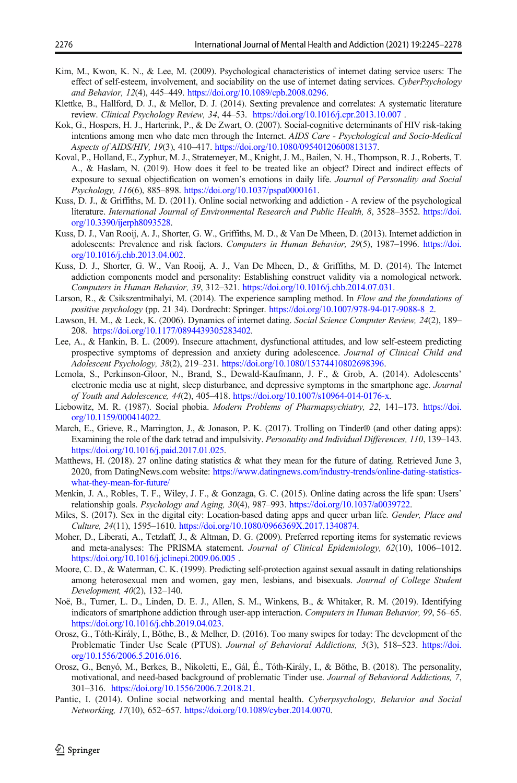- <span id="page-31-0"></span>Kim, M., Kwon, K. N., & Lee, M. (2009). Psychological characteristics of internet dating service users: The effect of self-esteem, involvement, and sociability on the use of internet dating services. CyberPsychology and Behavior, 12(4), 445–449. <https://doi.org/10.1089/cpb.2008.0296>.
- Klettke, B., Hallford, D. J., & Mellor, D. J. (2014). Sexting prevalence and correlates: A systematic literature review. Clinical Psychology Review, 34, 44–53. <https://doi.org/10.1016/j.cpr.2013.10.007> .
- Kok, G., Hospers, H. J., Harterink, P., & De Zwart, O. (2007). Social-cognitive determinants of HIV risk-taking intentions among men who date men through the Internet. AIDS Care - Psychological and Socio-Medical Aspects of AIDS/HIV, 19(3), 410–417. [https://doi.org/10.1080/09540120600813137.](https://doi.org/10.1080/09540120600813137)
- Koval, P., Holland, E., Zyphur, M. J., Stratemeyer, M., Knight, J. M., Bailen, N. H., Thompson, R. J., Roberts, T. A., & Haslam, N. (2019). How does it feel to be treated like an object? Direct and indirect effects of exposure to sexual objectification on women's emotions in daily life. Journal of Personality and Social Psychology, 116(6), 885–898. [https://doi.org/10.1037/pspa0000161.](https://doi.org/10.1037/pspa0000161)
- Kuss, D. J., & Griffiths, M. D. (2011). Online social networking and addiction A review of the psychological literature. International Journal of Environmental Research and Public Health, 8, 3528–3552. [https://doi.](https://doi.org/10.3390/ijerph8093528) [org/10.3390/ijerph8093528.](https://doi.org/10.3390/ijerph8093528)
- Kuss, D. J., Van Rooij, A. J., Shorter, G. W., Griffiths, M. D., & Van De Mheen, D. (2013). Internet addiction in adolescents: Prevalence and risk factors. Computers in Human Behavior, 29(5), 1987–1996. [https://doi.](https://doi.org/10.1016/j.chb.2013.04.002) [org/10.1016/j.chb.2013.04.002.](https://doi.org/10.1016/j.chb.2013.04.002)
- Kuss, D. J., Shorter, G. W., Van Rooij, A. J., Van De Mheen, D., & Griffiths, M. D. (2014). The Internet addiction components model and personality: Establishing construct validity via a nomological network. Computers in Human Behavior, 39, 312–321. [https://doi.org/10.1016/j.chb.2014.07.031.](https://doi.org/10.1016/j.chb.2014.07.031)
- Larson, R., & Csikszentmihalyi, M. (2014). The experience sampling method. In Flow and the foundations of positive psychology (pp. 21 34). Dordrecht: Springer. [https://doi.org/10.1007/978-94-017-9088-8\\_2.](https://doi.org/10.1007/978-94-017-9088-8_2)
- Lawson, H. M., & Leck, K. (2006). Dynamics of internet dating. Social Science Computer Review, 24(2), 189– 208. <https://doi.org/10.1177/0894439305283402>.
- Lee, A., & Hankin, B. L. (2009). Insecure attachment, dysfunctional attitudes, and low self-esteem predicting prospective symptoms of depression and anxiety during adolescence. Journal of Clinical Child and Adolescent Psychology, 38(2), 219–231. <https://doi.org/10.1080/15374410802698396>.
- Lemola, S., Perkinson-Gloor, N., Brand, S., Dewald-Kaufmann, J. F., & Grob, A. (2014). Adolescents' electronic media use at night, sleep disturbance, and depressive symptoms in the smartphone age. Journal of Youth and Adolescence, 44(2), 405–418. <https://doi.org/10.1007/s10964-014-0176-x>.
- Liebowitz, M. R. (1987). Social phobia. Modern Problems of Pharmapsychiatry, 22, 141–173. [https://doi.](https://doi.org/10.1159/000414022) [org/10.1159/000414022](https://doi.org/10.1159/000414022).
- March, E., Grieve, R., Marrington, J., & Jonason, P. K. (2017). Trolling on Tinder® (and other dating apps): Examining the role of the dark tetrad and impulsivity. Personality and Individual Differences, 110, 139–143. <https://doi.org/10.1016/j.paid.2017.01.025>.
- Matthews, H. (2018). 27 online dating statistics & what they mean for the future of dating. Retrieved June 3, 2020, from DatingNews.com website: [https://www.datingnews.com/industry-trends/online-dating-statistics](https://doi.org/http://creativecommons.org/licenses/by/4.0/)[what-they-mean-for-future/](https://doi.org/http://creativecommons.org/licenses/by/4.0/)
- Menkin, J. A., Robles, T. F., Wiley, J. F., & Gonzaga, G. C. (2015). Online dating across the life span: Users' relationship goals. Psychology and Aging, 30(4), 987–993. [https://doi.org/10.1037/a0039722.](https://doi.org/10.1037/a0039722)
- Miles, S. (2017). Sex in the digital city: Location-based dating apps and queer urban life. Gender, Place and Culture, 24(11), 1595–1610. <https://doi.org/10.1080/0966369X.2017.1340874>.
- Moher, D., Liberati, A., Tetzlaff, J., & Altman, D. G. (2009). Preferred reporting items for systematic reviews and meta-analyses: The PRISMA statement. Journal of Clinical Epidemiology, 62(10), 1006-1012. <https://doi.org/10.1016/j.jclinepi.2009.06.005> .
- Moore, C. D., & Waterman, C. K. (1999). Predicting self-protection against sexual assault in dating relationships among heterosexual men and women, gay men, lesbians, and bisexuals. Journal of College Student Development, 40(2), 132–140.
- Noë, B., Turner, L. D., Linden, D. E. J., Allen, S. M., Winkens, B., & Whitaker, R. M. (2019). Identifying indicators of smartphone addiction through user-app interaction. Computers in Human Behavior, 99, 56–65. <https://doi.org/10.1016/j.chb.2019.04.023>.
- Orosz, G., Tóth-Király, I., Bőthe, B., & Melher, D. (2016). Too many swipes for today: The development of the Problematic Tinder Use Scale (PTUS). Journal of Behavioral Addictions, 5(3), 518–523. [https://doi.](https://doi.org/10.1556/2006.5.2016.016) [org/10.1556/2006.5.2016.016](https://doi.org/10.1556/2006.5.2016.016).
- Orosz, G., Benyó, M., Berkes, B., Nikoletti, E., Gál, É., Tóth-Király, I., & Bőthe, B. (2018). The personality, motivational, and need-based background of problematic Tinder use. Journal of Behavioral Addictions, 7, 301–316. [https://doi.org/10.1556/2006.7.2018.21.](https://doi.org/10.1556/2006.7.2018.21)
- Pantic, I. (2014). Online social networking and mental health. Cyberpsychology, Behavior and Social Networking, 17(10), 652–657. [https://doi.org/10.1089/cyber.2014.0070.](https://doi.org/10.1089/cyber.2014.0070)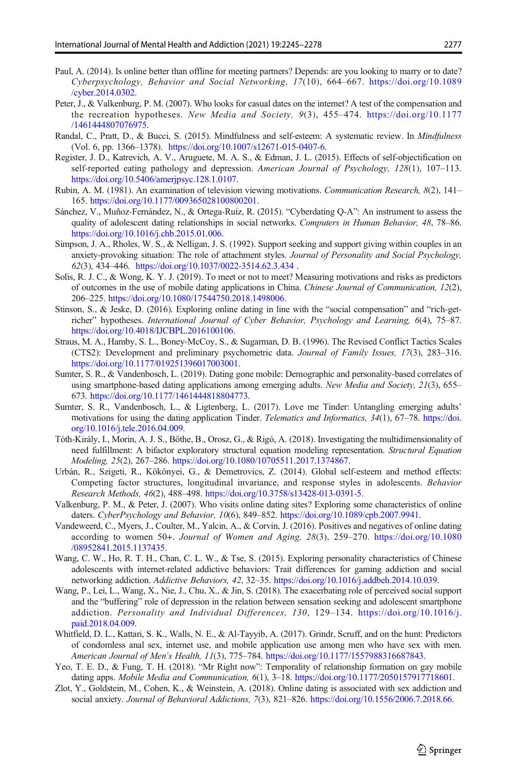- <span id="page-32-0"></span>Paul, A. (2014). Is online better than offline for meeting partners? Depends: are you looking to marry or to date? Cyberpsychology, Behavior and Social Networking, 17(10), 664–667. [https://doi.org/10.1089](https://doi.org/10.1089/cyber.2014.0302) [/cyber.2014.0302.](https://doi.org/10.1089/cyber.2014.0302)
- Peter, J., & Valkenburg, P. M. (2007). Who looks for casual dates on the internet? A test of the compensation and the recreation hypotheses. New Media and Society, 9(3), 455–474. [https://doi.org/10.1177](https://doi.org/10.1177/1461444807076975) [/1461444807076975.](https://doi.org/10.1177/1461444807076975)
- Randal, C., Pratt, D., & Bucci, S. (2015). Mindfulness and self-esteem: A systematic review. In Mindfulness (Vol. 6, pp. 1366–1378). <https://doi.org/10.1007/s12671-015-0407-6>.
- Register, J. D., Katrevich, A. V., Aruguete, M. A. S., & Edman, J. L. (2015). Effects of self-objectification on self-reported eating pathology and depression. American Journal of Psychology, 128(1), 107–113. [https://doi.org/10.5406/amerjpsyc.128.1.0107.](https://doi.org/10.5406/amerjpsyc.128.1.0107)
- Rubin, A. M. (1981). An examination of television viewing motivations. Communication Research, 8(2), 141– 165. <https://doi.org/10.1177/009365028100800201>.
- Sánchez, V., Muñoz-Fernández, N., & Ortega-Ruíz, R. (2015). "Cyberdating Q-A": An instrument to assess the quality of adolescent dating relationships in social networks. Computers in Human Behavior, 48, 78-86. <https://doi.org/10.1016/j.chb.2015.01.006>.
- Simpson, J. A., Rholes, W. S., & Nelligan, J. S. (1992). Support seeking and support giving within couples in an anxiety-provoking situation: The role of attachment styles. Journal of Personality and Social Psychology, 62(3), 434–446. <https://doi.org/10.1037/0022-3514.62.3.434> .
- Solis, R. J. C., & Wong, K. Y. J. (2019). To meet or not to meet? Measuring motivations and risks as predictors of outcomes in the use of mobile dating applications in China. Chinese Journal of Communication, 12(2), 206–225. [https://doi.org/10.1080/17544750.2018.1498006.](https://doi.org/10.1080/17544750.2018.1498006)
- Stinson, S., & Jeske, D. (2016). Exploring online dating in line with the "social compensation" and "rich-getricher" hypotheses. International Journal of Cyber Behavior, Psychology and Learning, 6(4), 75–87. <https://doi.org/10.4018/IJCBPL.2016100106>.
- Straus, M. A., Hamby, S. L., Boney-McCoy, S., & Sugarman, D. B. (1996). The Revised Conflict Tactics Scales (CTS2): Development and preliminary psychometric data. Journal of Family Issues, 17(3), 283–316. [https://doi.org/10.1177/019251396017003001.](https://doi.org/10.1177/019251396017003001)
- Sumter, S. R., & Vandenbosch, L. (2019). Dating gone mobile: Demographic and personality-based correlates of using smartphone-based dating applications among emerging adults. New Media and Society, 21(3), 655– 673. [https://doi.org/10.1177/1461444818804773.](https://doi.org/10.1177/1461444818804773)
- Sumter, S. R., Vandenbosch, L., & Ligtenberg, L. (2017). Love me Tinder: Untangling emerging adults' motivations for using the dating application Tinder. Telematics and Informatics, 34(1), 67-78. [https://doi.](https://doi.org/10.1016/j.tele.2016.04.009) [org/10.1016/j.tele.2016.04.009.](https://doi.org/10.1016/j.tele.2016.04.009)
- Tóth-Király, I., Morin, A. J. S., Bőthe, B., Orosz, G., & Rigó, A. (2018). Investigating the multidimensionality of need fulfillment: A bifactor exploratory structural equation modeling representation. Structural Equation Modeling, 25(2), 267–286. <https://doi.org/10.1080/10705511.2017.1374867>.
- Urbán, R., Szigeti, R., Kökönyei, G., & Demetrovics, Z. (2014). Global self-esteem and method effects: Competing factor structures, longitudinal invariance, and response styles in adolescents. Behavior Research Methods, 46(2), 488–498. <https://doi.org/10.3758/s13428-013-0391-5>.
- Valkenburg, P. M., & Peter, J. (2007). Who visits online dating sites? Exploring some characteristics of online daters. CyberPsychology and Behavior, 10(6), 849–852. <https://doi.org/10.1089/cpb.2007.9941>.
- Vandeweerd, C., Myers, J., Coulter, M., Yalcin, A., & Corvin, J. (2016). Positives and negatives of online dating according to women 50+. Journal of Women and Aging, 28(3), 259–270. [https://doi.org/10.1080](https://doi.org/10.1080/08952841.2015.1137435) [/08952841.2015.1137435](https://doi.org/10.1080/08952841.2015.1137435).
- Wang, C. W., Ho, R. T. H., Chan, C. L. W., & Tse, S. (2015). Exploring personality characteristics of Chinese adolescents with internet-related addictive behaviors: Trait differences for gaming addiction and social networking addiction. Addictive Behaviors, 42, 32–35. [https://doi.org/10.1016/j.addbeh.2014.10.039.](https://doi.org/10.1016/j.addbeh.2014.10.039)
- Wang, P., Lei, L., Wang, X., Nie, J., Chu, X., & Jin, S. (2018). The exacerbating role of perceived social support and the "buffering" role of depression in the relation between sensation seeking and adolescent smartphone addiction. Personality and Individual Differences, 130, 129–134. [https://doi.org/10.1016/j.](https://doi.org/10.1016/j.paid.2018.04.009) [paid.2018.04.009](https://doi.org/10.1016/j.paid.2018.04.009).
- Whitfield, D. L., Kattari, S. K., Walls, N. E., & Al-Tayyib, A. (2017). Grindr, Scruff, and on the hunt: Predictors of condomless anal sex, internet use, and mobile application use among men who have sex with men. American Journal of Men's Health, 11(3), 775–784. <https://doi.org/10.1177/1557988316687843>.
- Yeo, T. E. D., & Fung, T. H. (2018). "Mr Right now": Temporality of relationship formation on gay mobile dating apps. *Mobile Media and Communication*, 6(1), 3–18. <https://doi.org/10.1177/2050157917718601>.
- Zlot, Y., Goldstein, M., Cohen, K., & Weinstein, A. (2018). Online dating is associated with sex addiction and social anxiety. Journal of Behavioral Addictions, 7(3), 821-826. <https://doi.org/10.1556/2006.7.2018.66>.